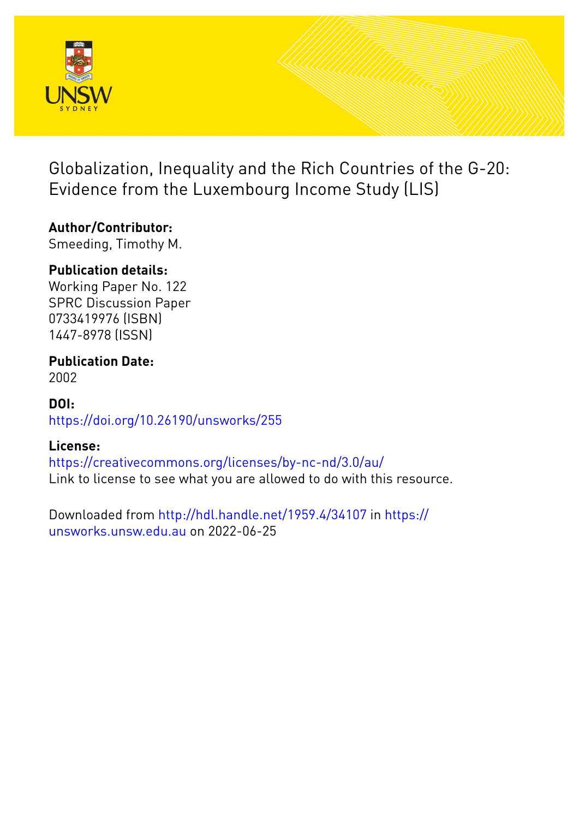

Globalization, Inequality and the Rich Countries of the G-20: Evidence from the Luxembourg Income Study (LIS)

# **Author/Contributor:**

Smeeding, Timothy M.

# **Publication details:**

Working Paper No. 122 SPRC Discussion Paper 0733419976 (ISBN) 1447-8978 (ISSN)

#### **Publication Date:** 2002

# **DOI:** [https://doi.org/10.26190/unsworks/255](http://dx.doi.org/https://doi.org/10.26190/unsworks/255)

## **License:**

<https://creativecommons.org/licenses/by-nc-nd/3.0/au/> Link to license to see what you are allowed to do with this resource.

Downloaded from <http://hdl.handle.net/1959.4/34107> in [https://](https://unsworks.unsw.edu.au) [unsworks.unsw.edu.au](https://unsworks.unsw.edu.au) on 2022-06-25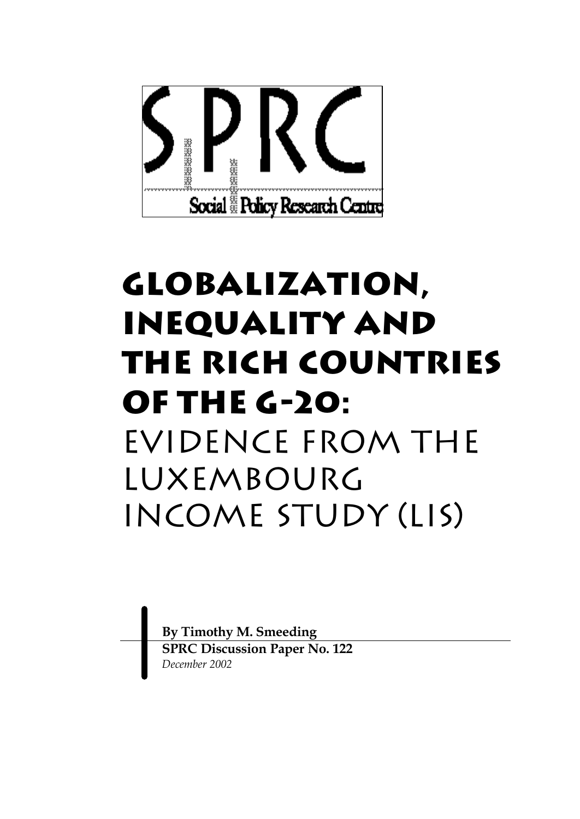

# Globalization, Inequality and the Rich Countries of the G-20: Evidence from the Luxembourg Income Study (LIS)

**By Timothy M. Smeeding SPRC Discussion Paper No. 122** *December 2002*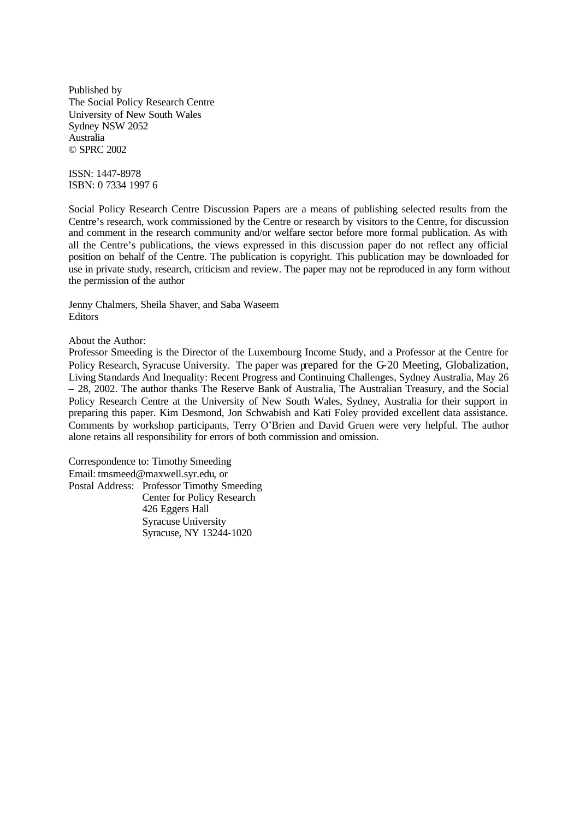Published by The Social Policy Research Centre University of New South Wales Sydney NSW 2052 Australia © SPRC 2002

ISSN: 1447-8978 ISBN: 0 7334 1997 6

Social Policy Research Centre Discussion Papers are a means of publishing selected results from the Centre's research, work commissioned by the Centre or research by visitors to the Centre, for discussion and comment in the research community and/or welfare sector before more formal publication. As with all the Centre's publications, the views expressed in this discussion paper do not reflect any official position on behalf of the Centre. The publication is copyright. This publication may be downloaded for use in private study, research, criticism and review. The paper may not be reproduced in any form without the permission of the author

Jenny Chalmers, Sheila Shaver, and Saba Waseem **Editors** 

About the Author:

Professor Smeeding is the Director of the Luxembourg Income Study, and a Professor at the Centre for Policy Research, Syracuse University. The paper was prepared for the G-20 Meeting, Globalization, Living Standards And Inequality: Recent Progress and Continuing Challenges, Sydney Australia, May 26 – 28, 2002. The author thanks The Reserve Bank of Australia, The Australian Treasury, and the Social Policy Research Centre at the University of New South Wales, Sydney, Australia for their support in preparing this paper. Kim Desmond, Jon Schwabish and Kati Foley provided excellent data assistance. Comments by workshop participants, Terry O'Brien and David Gruen were very helpful. The author alone retains all responsibility for errors of both commission and omission.

Correspondence to: Timothy Smeeding Email: tmsmeed@maxwell.syr.edu, or Postal Address: Professor Timothy Smeeding Center for Policy Research 426 Eggers Hall Syracuse University Syracuse, NY 13244-1020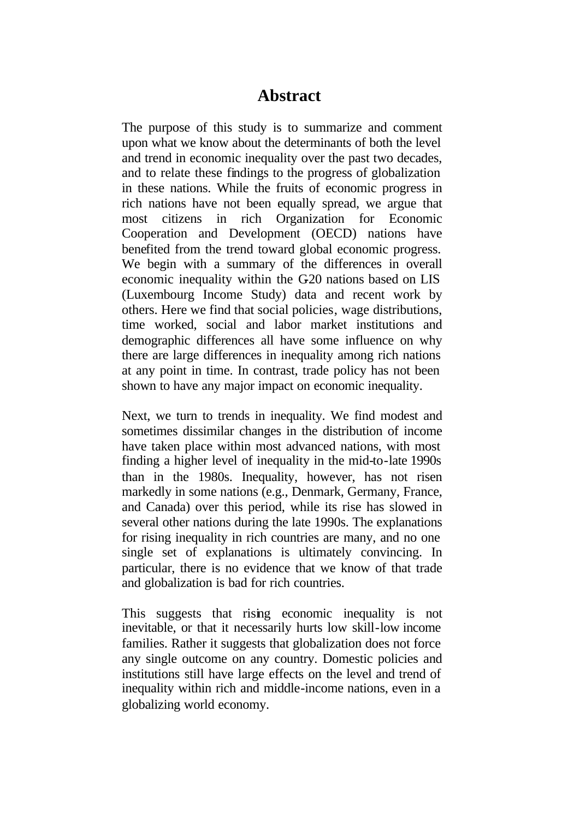## **Abstract**

The purpose of this study is to summarize and comment upon what we know about the determinants of both the level and trend in economic inequality over the past two decades, and to relate these findings to the progress of globalization in these nations. While the fruits of economic progress in rich nations have not been equally spread, we argue that most citizens in rich Organization for Economic Cooperation and Development (OECD) nations have benefited from the trend toward global economic progress. We begin with a summary of the differences in overall economic inequality within the G20 nations based on LIS (Luxembourg Income Study) data and recent work by others. Here we find that social policies, wage distributions, time worked, social and labor market institutions and demographic differences all have some influence on why there are large differences in inequality among rich nations at any point in time. In contrast, trade policy has not been shown to have any major impact on economic inequality.

Next, we turn to trends in inequality. We find modest and sometimes dissimilar changes in the distribution of income have taken place within most advanced nations, with most finding a higher level of inequality in the mid-to-late 1990s than in the 1980s. Inequality, however, has not risen markedly in some nations (e.g., Denmark, Germany, France, and Canada) over this period, while its rise has slowed in several other nations during the late 1990s. The explanations for rising inequality in rich countries are many, and no one single set of explanations is ultimately convincing. In particular, there is no evidence that we know of that trade and globalization is bad for rich countries.

This suggests that rising economic inequality is not inevitable, or that it necessarily hurts low skill-low income families. Rather it suggests that globalization does not force any single outcome on any country. Domestic policies and institutions still have large effects on the level and trend of inequality within rich and middle-income nations, even in a globalizing world economy.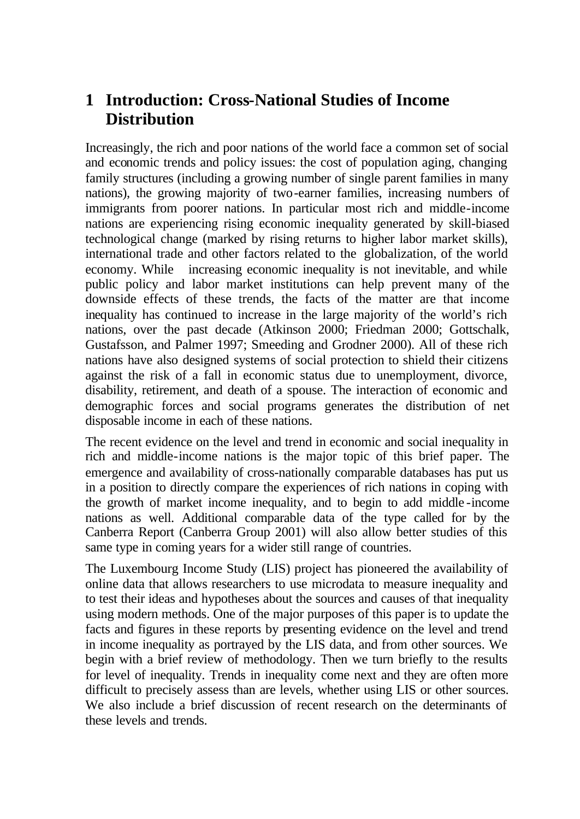# **1 Introduction: Cross-National Studies of Income Distribution**

Increasingly, the rich and poor nations of the world face a common set of social and economic trends and policy issues: the cost of population aging, changing family structures (including a growing number of single parent families in many nations), the growing majority of two-earner families, increasing numbers of immigrants from poorer nations. In particular most rich and middle-income nations are experiencing rising economic inequality generated by skill-biased technological change (marked by rising returns to higher labor market skills), international trade and other factors related to the globalization, of the world economy. While increasing economic inequality is not inevitable, and while public policy and labor market institutions can help prevent many of the downside effects of these trends, the facts of the matter are that income inequality has continued to increase in the large majority of the world's rich nations, over the past decade (Atkinson 2000; Friedman 2000; Gottschalk, Gustafsson, and Palmer 1997; Smeeding and Grodner 2000). All of these rich nations have also designed systems of social protection to shield their citizens against the risk of a fall in economic status due to unemployment, divorce, disability, retirement, and death of a spouse. The interaction of economic and demographic forces and social programs generates the distribution of net disposable income in each of these nations.

The recent evidence on the level and trend in economic and social inequality in rich and middle-income nations is the major topic of this brief paper. The emergence and availability of cross-nationally comparable databases has put us in a position to directly compare the experiences of rich nations in coping with the growth of market income inequality, and to begin to add middle -income nations as well. Additional comparable data of the type called for by the Canberra Report (Canberra Group 2001) will also allow better studies of this same type in coming years for a wider still range of countries.

The Luxembourg Income Study (LIS) project has pioneered the availability of online data that allows researchers to use microdata to measure inequality and to test their ideas and hypotheses about the sources and causes of that inequality using modern methods. One of the major purposes of this paper is to update the facts and figures in these reports by presenting evidence on the level and trend in income inequality as portrayed by the LIS data, and from other sources. We begin with a brief review of methodology. Then we turn briefly to the results for level of inequality. Trends in inequality come next and they are often more difficult to precisely assess than are levels, whether using LIS or other sources. We also include a brief discussion of recent research on the determinants of these levels and trends.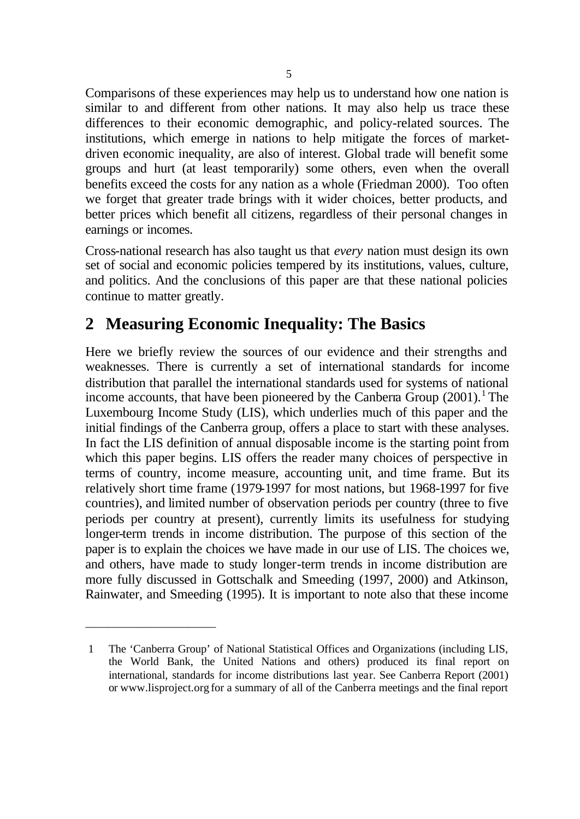Comparisons of these experiences may help us to understand how one nation is similar to and different from other nations. It may also help us trace these differences to their economic demographic, and policy-related sources. The institutions, which emerge in nations to help mitigate the forces of marketdriven economic inequality, are also of interest. Global trade will benefit some groups and hurt (at least temporarily) some others, even when the overall benefits exceed the costs for any nation as a whole (Friedman 2000). Too often we forget that greater trade brings with it wider choices, better products, and better prices which benefit all citizens, regardless of their personal changes in earnings or incomes.

Cross-national research has also taught us that *every* nation must design its own set of social and economic policies tempered by its institutions, values, culture, and politics. And the conclusions of this paper are that these national policies continue to matter greatly.

# **2 Measuring Economic Inequality: The Basics**

Here we briefly review the sources of our evidence and their strengths and weaknesses. There is currently a set of international standards for income distribution that parallel the international standards used for systems of national income accounts, that have been pioneered by the Canberra Group  $(2001)$ .<sup>1</sup> The Luxembourg Income Study (LIS), which underlies much of this paper and the initial findings of the Canberra group, offers a place to start with these analyses. In fact the LIS definition of annual disposable income is the starting point from which this paper begins. LIS offers the reader many choices of perspective in terms of country, income measure, accounting unit, and time frame. But its relatively short time frame (1979-1997 for most nations, but 1968-1997 for five countries), and limited number of observation periods per country (three to five periods per country at present), currently limits its usefulness for studying longer-term trends in income distribution. The purpose of this section of the paper is to explain the choices we have made in our use of LIS. The choices we, and others, have made to study longer-term trends in income distribution are more fully discussed in Gottschalk and Smeeding (1997, 2000) and Atkinson, Rainwater, and Smeeding (1995). It is important to note also that these income

<sup>1</sup> The 'Canberra Group' of National Statistical Offices and Organizations (including LIS, the World Bank, the United Nations and others) produced its final report on international, standards for income distributions last year. See Canberra Report (2001) or www.lisproject.org for a summary of all of the Canberra meetings and the final report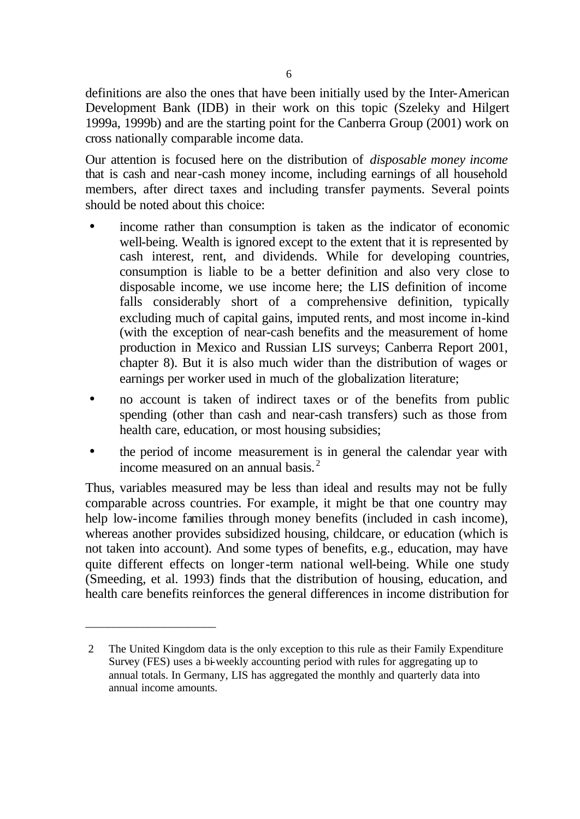definitions are also the ones that have been initially used by the Inter-American Development Bank (IDB) in their work on this topic (Szeleky and Hilgert 1999a, 1999b) and are the starting point for the Canberra Group (2001) work on cross nationally comparable income data.

Our attention is focused here on the distribution of *disposable money income*  that is cash and near-cash money income, including earnings of all household members, after direct taxes and including transfer payments. Several points should be noted about this choice:

- income rather than consumption is taken as the indicator of economic well-being. Wealth is ignored except to the extent that it is represented by cash interest, rent, and dividends. While for developing countries, consumption is liable to be a better definition and also very close to disposable income, we use income here; the LIS definition of income falls considerably short of a comprehensive definition, typically excluding much of capital gains, imputed rents, and most income in-kind (with the exception of near-cash benefits and the measurement of home production in Mexico and Russian LIS surveys; Canberra Report 2001, chapter 8). But it is also much wider than the distribution of wages or earnings per worker used in much of the globalization literature;
- no account is taken of indirect taxes or of the benefits from public spending (other than cash and near-cash transfers) such as those from health care, education, or most housing subsidies;
- the period of income measurement is in general the calendar year with income measured on an annual basis. <sup>2</sup>

Thus, variables measured may be less than ideal and results may not be fully comparable across countries. For example, it might be that one country may help low-income families through money benefits (included in cash income), whereas another provides subsidized housing, childcare, or education (which is not taken into account). And some types of benefits, e.g., education, may have quite different effects on longer-term national well-being. While one study (Smeeding, et al. 1993) finds that the distribution of housing, education, and health care benefits reinforces the general differences in income distribution for

<sup>2</sup> The United Kingdom data is the only exception to this rule as their Family Expenditure Survey (FES) uses a bi-weekly accounting period with rules for aggregating up to annual totals. In Germany, LIS has aggregated the monthly and quarterly data into annual income amounts.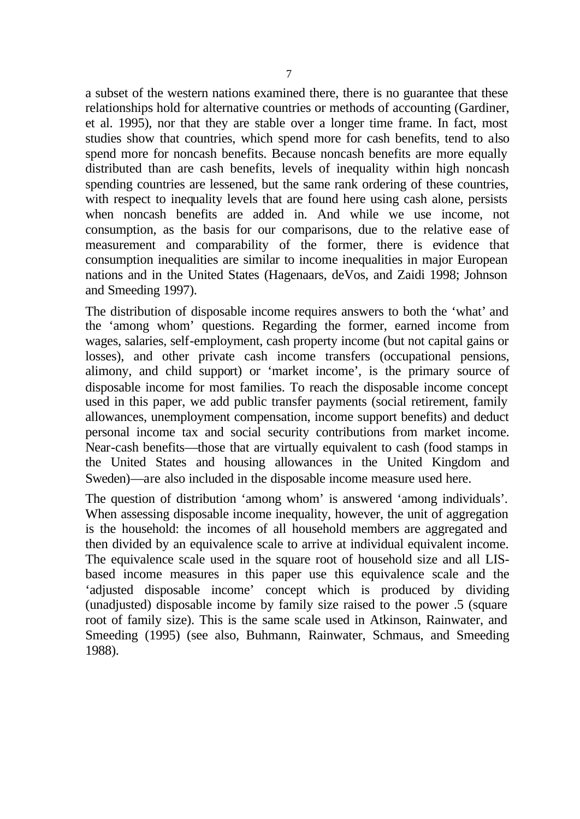a subset of the western nations examined there, there is no guarantee that these relationships hold for alternative countries or methods of accounting (Gardiner, et al. 1995), nor that they are stable over a longer time frame. In fact, most studies show that countries, which spend more for cash benefits, tend to also spend more for noncash benefits. Because noncash benefits are more equally distributed than are cash benefits, levels of inequality within high noncash spending countries are lessened, but the same rank ordering of these countries, with respect to inequality levels that are found here using cash alone, persists when noncash benefits are added in. And while we use income, not consumption, as the basis for our comparisons, due to the relative ease of measurement and comparability of the former, there is evidence that consumption inequalities are similar to income inequalities in major European nations and in the United States (Hagenaars, deVos, and Zaidi 1998; Johnson and Smeeding 1997).

The distribution of disposable income requires answers to both the 'what' and the 'among whom' questions. Regarding the former, earned income from wages, salaries, self-employment, cash property income (but not capital gains or losses), and other private cash income transfers (occupational pensions, alimony, and child support) or 'market income', is the primary source of disposable income for most families. To reach the disposable income concept used in this paper, we add public transfer payments (social retirement, family allowances, unemployment compensation, income support benefits) and deduct personal income tax and social security contributions from market income. Near-cash benefits—those that are virtually equivalent to cash (food stamps in the United States and housing allowances in the United Kingdom and Sweden)—are also included in the disposable income measure used here.

The question of distribution 'among whom' is answered 'among individuals'. When assessing disposable income inequality, however, the unit of aggregation is the household: the incomes of all household members are aggregated and then divided by an equivalence scale to arrive at individual equivalent income. The equivalence scale used in the square root of household size and all LISbased income measures in this paper use this equivalence scale and the 'adjusted disposable income' concept which is produced by dividing (unadjusted) disposable income by family size raised to the power .5 (square root of family size). This is the same scale used in Atkinson, Rainwater, and Smeeding (1995) (see also, Buhmann, Rainwater, Schmaus, and Smeeding 1988).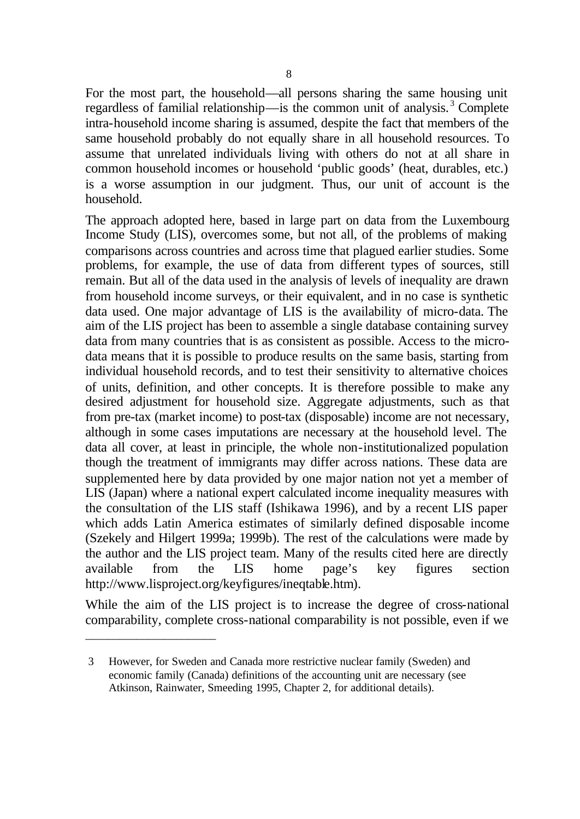For the most part, the household—all persons sharing the same housing unit regardless of familial relationship—is the common unit of analysis.<sup>3</sup> Complete intra-household income sharing is assumed, despite the fact that members of the same household probably do not equally share in all household resources. To assume that unrelated individuals living with others do not at all share in common household incomes or household 'public goods' (heat, durables, etc.) is a worse assumption in our judgment. Thus, our unit of account is the household.

The approach adopted here, based in large part on data from the Luxembourg Income Study (LIS), overcomes some, but not all, of the problems of making comparisons across countries and across time that plagued earlier studies. Some problems, for example, the use of data from different types of sources, still remain. But all of the data used in the analysis of levels of inequality are drawn from household income surveys, or their equivalent, and in no case is synthetic data used. One major advantage of LIS is the availability of micro-data. The aim of the LIS project has been to assemble a single database containing survey data from many countries that is as consistent as possible. Access to the microdata means that it is possible to produce results on the same basis, starting from individual household records, and to test their sensitivity to alternative choices of units, definition, and other concepts. It is therefore possible to make any desired adjustment for household size. Aggregate adjustments, such as that from pre-tax (market income) to post-tax (disposable) income are not necessary, although in some cases imputations are necessary at the household level. The data all cover, at least in principle, the whole non-institutionalized population though the treatment of immigrants may differ across nations. These data are supplemented here by data provided by one major nation not yet a member of LIS (Japan) where a national expert calculated income inequality measures with the consultation of the LIS staff (Ishikawa 1996), and by a recent LIS paper which adds Latin America estimates of similarly defined disposable income (Szekely and Hilgert 1999a; 1999b). The rest of the calculations were made by the author and the LIS project team. Many of the results cited here are directly available from the LIS home page's key figures section http://www.lisproject.org/keyfigures/ineqtable.htm).

While the aim of the LIS project is to increase the degree of cross-national comparability, complete cross-national comparability is not possible, even if we

<sup>3</sup> However, for Sweden and Canada more restrictive nuclear family (Sweden) and economic family (Canada) definitions of the accounting unit are necessary (see Atkinson, Rainwater, Smeeding 1995, Chapter 2, for additional details).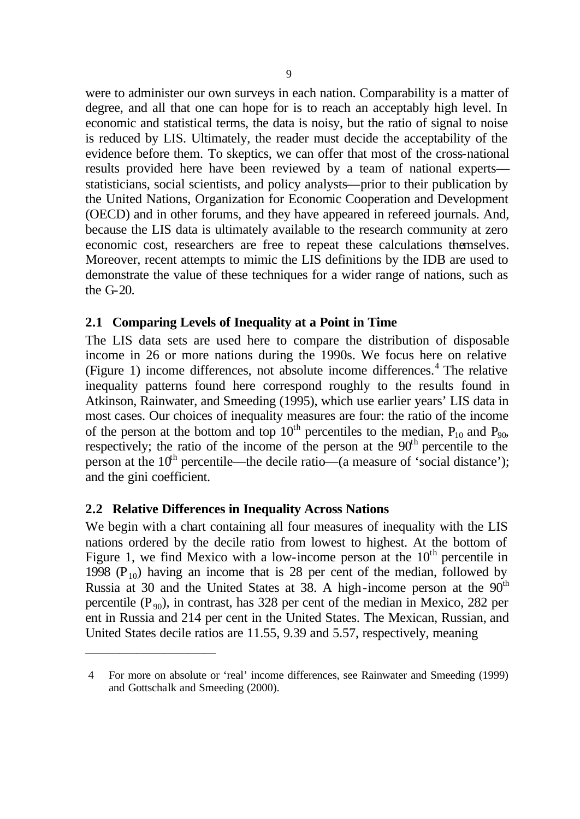were to administer our own surveys in each nation. Comparability is a matter of degree, and all that one can hope for is to reach an acceptably high level. In economic and statistical terms, the data is noisy, but the ratio of signal to noise is reduced by LIS. Ultimately, the reader must decide the acceptability of the evidence before them. To skeptics, we can offer that most of the cross-national results provided here have been reviewed by a team of national experts statisticians, social scientists, and policy analysts—prior to their publication by the United Nations, Organization for Economic Cooperation and Development (OECD) and in other forums, and they have appeared in refereed journals. And, because the LIS data is ultimately available to the research community at zero economic cost, researchers are free to repeat these calculations themselves. Moreover, recent attempts to mimic the LIS definitions by the IDB are used to demonstrate the value of these techniques for a wider range of nations, such as the G-20.

#### **2.1 Comparing Levels of Inequality at a Point in Time**

The LIS data sets are used here to compare the distribution of disposable income in 26 or more nations during the 1990s. We focus here on relative (Figure 1) income differences, not absolute income differences.<sup>4</sup> The relative inequality patterns found here correspond roughly to the results found in Atkinson, Rainwater, and Smeeding (1995), which use earlier years' LIS data in most cases. Our choices of inequality measures are four: the ratio of the income of the person at the bottom and top  $10^{th}$  percentiles to the median,  $P_{10}$  and  $P_{90}$ , respectively; the ratio of the income of the person at the  $90<sup>th</sup>$  percentile to the person at the  $10<sup>th</sup>$  percentile—the decile ratio—(a measure of 'social distance'); and the gini coefficient.

#### **2.2 Relative Differences in Inequality Across Nations**

 $\frac{1}{2}$  ,  $\frac{1}{2}$  ,  $\frac{1}{2}$  ,  $\frac{1}{2}$  ,  $\frac{1}{2}$  ,  $\frac{1}{2}$  ,  $\frac{1}{2}$  ,  $\frac{1}{2}$  ,  $\frac{1}{2}$  ,  $\frac{1}{2}$  ,  $\frac{1}{2}$  ,  $\frac{1}{2}$  ,  $\frac{1}{2}$  ,  $\frac{1}{2}$  ,  $\frac{1}{2}$  ,  $\frac{1}{2}$  ,  $\frac{1}{2}$  ,  $\frac{1}{2}$  ,  $\frac{1$ 

We begin with a chart containing all four measures of inequality with the LIS nations ordered by the decile ratio from lowest to highest. At the bottom of Figure 1, we find Mexico with a low-income person at the  $10<sup>th</sup>$  percentile in 1998 ( $P_{10}$ ) having an income that is 28 per cent of the median, followed by Russia at 30 and the United States at 38. A high-income person at the  $90<sup>th</sup>$ percentile  $(P_{90})$ , in contrast, has 328 per cent of the median in Mexico, 282 per ent in Russia and 214 per cent in the United States. The Mexican, Russian, and United States decile ratios are 11.55, 9.39 and 5.57, respectively, meaning

<sup>4</sup> For more on absolute or 'real' income differences, see Rainwater and Smeeding (1999) and Gottschalk and Smeeding (2000).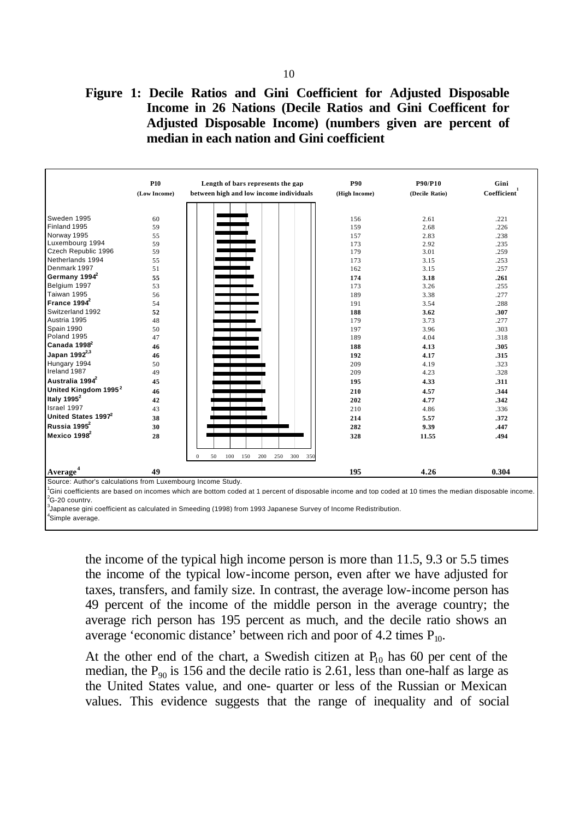#### **Figure 1: Decile Ratios and Gini Coefficient for Adjusted Disposable Income in 26 Nations (Decile Ratios and Gini Coefficent for Adjusted Disposable Income) (numbers given are percent of median in each nation and Gini coefficient**

|                                  | <b>P10</b>   | Length of bars represents the gap                        | <b>P90</b>    | <b>P90/P10</b> | Gini        |
|----------------------------------|--------------|----------------------------------------------------------|---------------|----------------|-------------|
|                                  | (Low Income) | between high and low income individuals                  | (High Income) | (Decile Ratio) | Coefficient |
|                                  |              |                                                          |               |                |             |
| Sweden 1995                      | 60           |                                                          | 156           | 2.61           | .221        |
| Finland 1995                     | 59           |                                                          | 159           | 2.68           | .226        |
| Norway 1995                      | 55           |                                                          | 157           | 2.83           | .238        |
| Luxembourg 1994                  | 59           |                                                          | 173           | 2.92           | .235        |
| Czech Republic 1996              | 59           |                                                          | 179           | 3.01           | .259        |
| Netherlands 1994                 | 55           |                                                          | 173           | 3.15           | .253        |
| Denmark 1997                     | 51           |                                                          | 162           | 3.15           | .257        |
| Germany 1994 <sup>2</sup>        | 55           |                                                          | 174           | 3.18           | .261        |
| Belgium 1997                     | 53           |                                                          | 173           | 3.26           | .255        |
| Taiwan 1995                      | 56           |                                                          | 189           | 3.38           | .277        |
| France 1994 $^2$                 | 54           |                                                          | 191           | 3.54           | .288        |
| Switzerland 1992                 | 52           |                                                          | 188           | 3.62           | .307        |
| Austria 1995                     | 48           |                                                          | 179           | 3.73           | .277        |
| Spain 1990                       | 50           |                                                          | 197           | 3.96           | .303        |
| Poland 1995                      | 47           |                                                          | 189           | 4.04           | .318        |
| Canada 1998 <sup>2</sup>         | 46           |                                                          | 188           | 4.13           | .305        |
| Japan 1992 <sup>2,3</sup>        | 46           |                                                          | 192           | 4.17           | .315        |
| Hungary 1994                     | 50           |                                                          | 209           | 4.19           | .323        |
| Ireland 1987                     | 49           |                                                          | 209           | 4.23           | .328        |
| Australia 1994 <sup>2</sup>      | 45           |                                                          | 195           | 4.33           | .311        |
| United Kingdom 1995 <sup>2</sup> | 46           |                                                          | 210           | 4.57           | .344        |
| Italy $1995^2$                   | 42           |                                                          | 202           | 4.77           | .342        |
| Israel 1997                      | 43           |                                                          | 210           | 4.86           | .336        |
| United States 1997 <sup>2</sup>  | 38           |                                                          | 214           | 5.57           | .372        |
| Russia 1995 <sup>2</sup>         | 30           |                                                          | 282           | 9.39           | .447        |
| Mexico 1998 <sup>2</sup>         |              |                                                          |               |                |             |
|                                  | 28           |                                                          | 328           | 11.55          | .494        |
|                                  |              | 50<br>100<br>150<br>200<br>250<br>300<br>350<br>$\Omega$ |               |                |             |
| Average <sup>4</sup>             | 49           |                                                          | 195           | 4.26           | 0.304       |

Source: Author's calculations from Luxembourg Income Study.

 $2$ G-20 country <sup>1</sup>Gini coefficients are based on incomes which are bottom coded at 1 percent of disposable income and top coded at 10 times the median disposable income.

the income of the typical high income person is more than 11.5, 9.3 or 5.5 times the income of the typical low-income person, even after we have adjusted for taxes, transfers, and family size. In contrast, the average low-income person has 49 percent of the income of the middle person in the average country; the average rich person has 195 percent as much, and the decile ratio shows an average 'economic distance' between rich and poor of 4.2 times  $P_{10}$ .

At the other end of the chart, a Swedish citizen at  $P_{10}$  has 60 per cent of the median, the  $P_{90}$  is 156 and the decile ratio is 2.61, less than one-half as large as the United States value, and one- quarter or less of the Russian or Mexican values. This evidence suggests that the range of inequality and of social

<sup>4</sup> Simple average. 3 Japanese gini coefficient as calculated in Smeeding (1998) from 1993 Japanese Survey of Income Redistribution.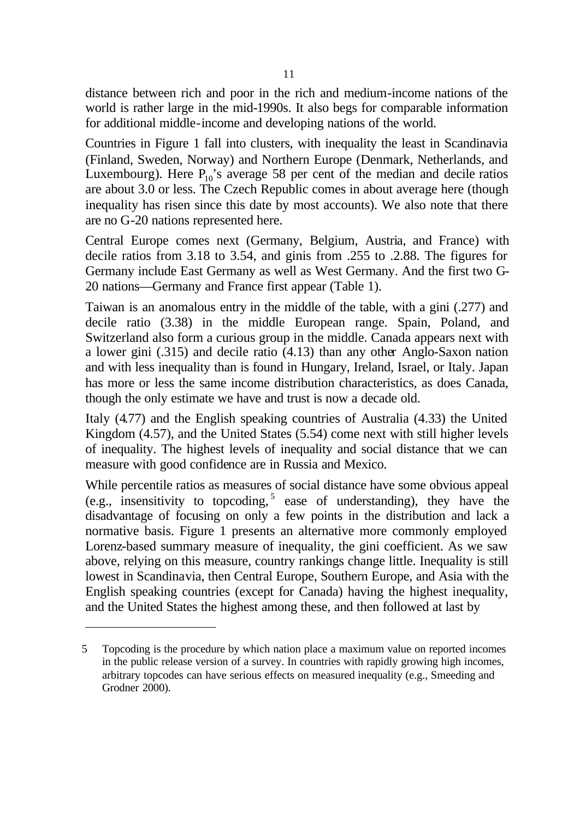distance between rich and poor in the rich and medium-income nations of the world is rather large in the mid-1990s. It also begs for comparable information for additional middle-income and developing nations of the world.

Countries in Figure 1 fall into clusters, with inequality the least in Scandinavia (Finland, Sweden, Norway) and Northern Europe (Denmark, Netherlands, and Luxembourg). Here  $P_{10}$ 's average 58 per cent of the median and decile ratios are about 3.0 or less. The Czech Republic comes in about average here (though inequality has risen since this date by most accounts). We also note that there are no G-20 nations represented here.

Central Europe comes next (Germany, Belgium, Austria, and France) with decile ratios from 3.18 to 3.54, and ginis from .255 to .2.88. The figures for Germany include East Germany as well as West Germany. And the first two G-20 nations—Germany and France first appear (Table 1).

Taiwan is an anomalous entry in the middle of the table, with a gini (.277) and decile ratio (3.38) in the middle European range. Spain, Poland, and Switzerland also form a curious group in the middle. Canada appears next with a lower gini (.315) and decile ratio (4.13) than any other Anglo-Saxon nation and with less inequality than is found in Hungary, Ireland, Israel, or Italy. Japan has more or less the same income distribution characteristics, as does Canada, though the only estimate we have and trust is now a decade old.

Italy (4.77) and the English speaking countries of Australia (4.33) the United Kingdom (4.57), and the United States (5.54) come next with still higher levels of inequality. The highest levels of inequality and social distance that we can measure with good confidence are in Russia and Mexico.

While percentile ratios as measures of social distance have some obvious appeal (e.g., insensitivity to topcoding,  $5$  ease of understanding), they have the disadvantage of focusing on only a few points in the distribution and lack a normative basis. Figure 1 presents an alternative more commonly employed Lorenz-based summary measure of inequality, the gini coefficient. As we saw above, relying on this measure, country rankings change little. Inequality is still lowest in Scandinavia, then Central Europe, Southern Europe, and Asia with the English speaking countries (except for Canada) having the highest inequality, and the United States the highest among these, and then followed at last by

<sup>5</sup> Topcoding is the procedure by which nation place a maximum value on reported incomes in the public release version of a survey. In countries with rapidly growing high incomes, arbitrary topcodes can have serious effects on measured inequality (e.g., Smeeding and Grodner 2000).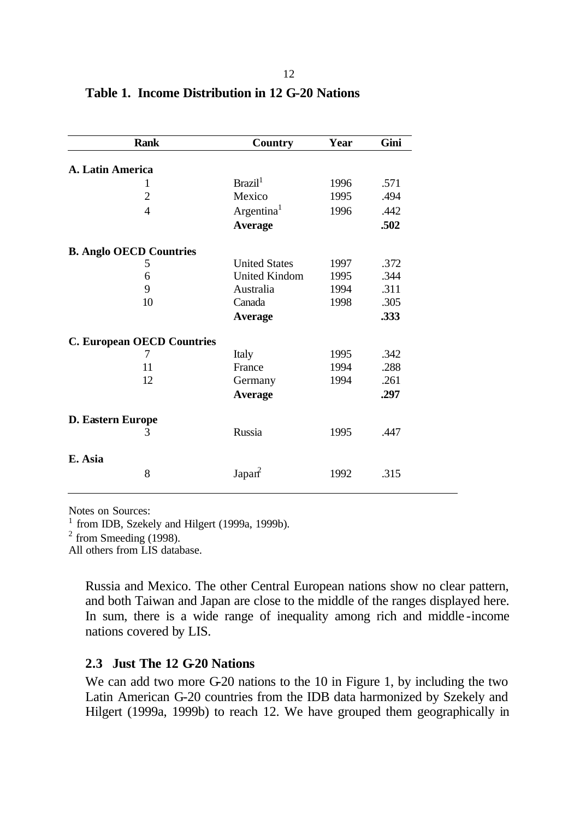| <b>Rank</b>                       | Country                | Year | Gini |
|-----------------------------------|------------------------|------|------|
| <b>A. Latin America</b>           |                        |      |      |
| 1                                 | Brazil <sup>1</sup>    | 1996 | .571 |
| $\overline{2}$                    | Mexico                 | 1995 | .494 |
| $\overline{4}$                    | Argentina <sup>1</sup> | 1996 | .442 |
|                                   | <b>Average</b>         |      | .502 |
| <b>B. Anglo OECD Countries</b>    |                        |      |      |
| 5                                 | <b>United States</b>   | 1997 | .372 |
| 6                                 | <b>United Kindom</b>   | 1995 | .344 |
| 9                                 | Australia              | 1994 | .311 |
| 10                                | Canada                 | 1998 | .305 |
|                                   | Average                |      | .333 |
| <b>C. European OECD Countries</b> |                        |      |      |
| 7                                 | Italy                  | 1995 | .342 |
| 11                                | France                 | 1994 | .288 |
| 12                                | Germany                | 1994 | .261 |
|                                   | <b>Average</b>         |      | .297 |
| D. Eastern Europe                 |                        |      |      |
| 3                                 | Russia                 | 1995 | .447 |
| E. Asia                           |                        |      |      |
| 8                                 | Japan <sup>2</sup>     | 1992 | .315 |

#### **Table 1. Income Distribution in 12 G-20 Nations**

Notes on Sources:

 $\frac{1}{1}$  from IDB, Szekely and Hilgert (1999a, 1999b).

 $2$  from Smeeding (1998).

All others from LIS database.

Russia and Mexico. The other Central European nations show no clear pattern, and both Taiwan and Japan are close to the middle of the ranges displayed here. In sum, there is a wide range of inequality among rich and middle -income nations covered by LIS.

#### **2.3 Just The 12 G-20 Nations**

We can add two more G-20 nations to the 10 in Figure 1, by including the two Latin American G-20 countries from the IDB data harmonized by Szekely and Hilgert (1999a, 1999b) to reach 12. We have grouped them geographically in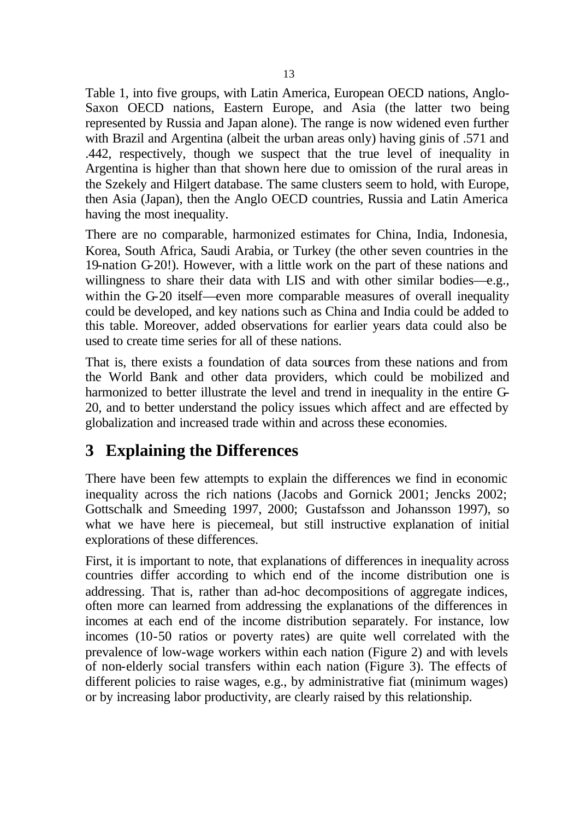Table 1, into five groups, with Latin America, European OECD nations, Anglo-Saxon OECD nations, Eastern Europe, and Asia (the latter two being represented by Russia and Japan alone). The range is now widened even further with Brazil and Argentina (albeit the urban areas only) having ginis of .571 and .442, respectively, though we suspect that the true level of inequality in Argentina is higher than that shown here due to omission of the rural areas in the Szekely and Hilgert database. The same clusters seem to hold, with Europe, then Asia (Japan), then the Anglo OECD countries, Russia and Latin America having the most inequality.

There are no comparable, harmonized estimates for China, India, Indonesia, Korea, South Africa, Saudi Arabia, or Turkey (the other seven countries in the 19-nation G-20!). However, with a little work on the part of these nations and willingness to share their data with LIS and with other similar bodies—e.g., within the G-20 itself—even more comparable measures of overall inequality could be developed, and key nations such as China and India could be added to this table. Moreover, added observations for earlier years data could also be used to create time series for all of these nations.

That is, there exists a foundation of data sources from these nations and from the World Bank and other data providers, which could be mobilized and harmonized to better illustrate the level and trend in inequality in the entire G-20, and to better understand the policy issues which affect and are effected by globalization and increased trade within and across these economies.

# **3 Explaining the Differences**

There have been few attempts to explain the differences we find in economic inequality across the rich nations (Jacobs and Gornick 2001; Jencks 2002; Gottschalk and Smeeding 1997, 2000; Gustafsson and Johansson 1997), so what we have here is piecemeal, but still instructive explanation of initial explorations of these differences.

First, it is important to note, that explanations of differences in inequality across countries differ according to which end of the income distribution one is addressing. That is, rather than ad-hoc decompositions of aggregate indices, often more can learned from addressing the explanations of the differences in incomes at each end of the income distribution separately. For instance, low incomes (10-50 ratios or poverty rates) are quite well correlated with the prevalence of low-wage workers within each nation (Figure 2) and with levels of non-elderly social transfers within each nation (Figure 3). The effects of different policies to raise wages, e.g., by administrative fiat (minimum wages) or by increasing labor productivity, are clearly raised by this relationship.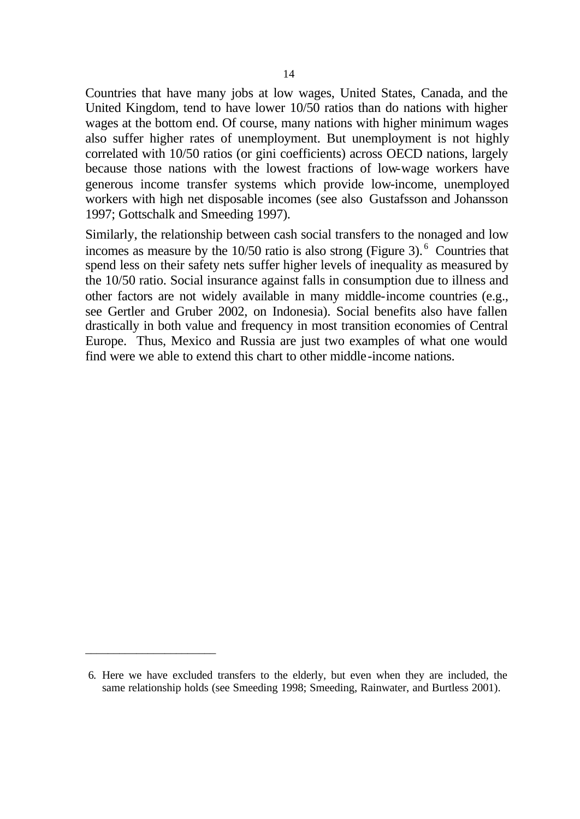Countries that have many jobs at low wages, United States, Canada, and the United Kingdom, tend to have lower 10/50 ratios than do nations with higher wages at the bottom end. Of course, many nations with higher minimum wages also suffer higher rates of unemployment. But unemployment is not highly correlated with 10/50 ratios (or gini coefficients) across OECD nations, largely because those nations with the lowest fractions of low-wage workers have generous income transfer systems which provide low-income, unemployed workers with high net disposable incomes (see also Gustafsson and Johansson 1997; Gottschalk and Smeeding 1997).

Similarly, the relationship between cash social transfers to the nonaged and low incomes as measure by the  $10/50$  ratio is also strong (Figure 3).<sup>6</sup> Countries that spend less on their safety nets suffer higher levels of inequality as measured by the 10/50 ratio. Social insurance against falls in consumption due to illness and other factors are not widely available in many middle-income countries (e.g., see Gertler and Gruber 2002, on Indonesia). Social benefits also have fallen drastically in both value and frequency in most transition economies of Central Europe. Thus, Mexico and Russia are just two examples of what one would find were we able to extend this chart to other middle-income nations.

<sup>6.</sup> Here we have excluded transfers to the elderly, but even when they are included, the same relationship holds (see Smeeding 1998; Smeeding, Rainwater, and Burtless 2001).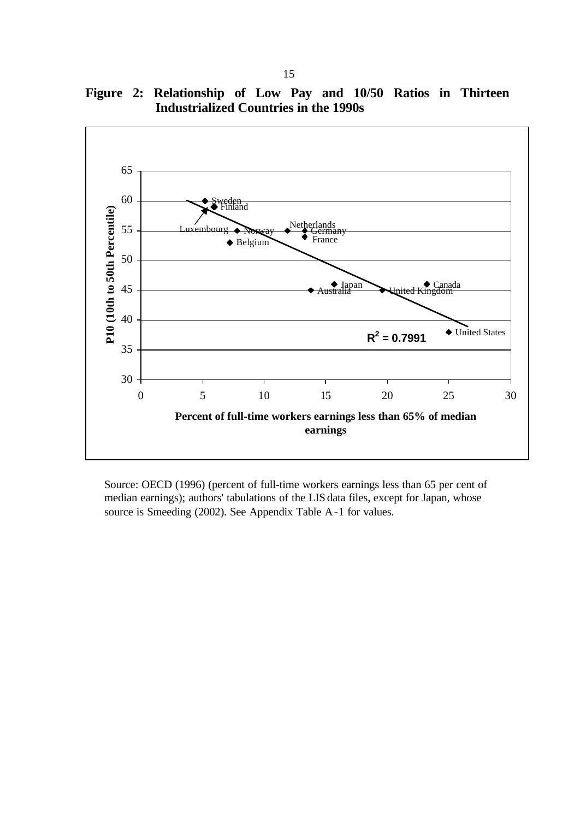**Figure 2: Relationship of Low Pay and 10/50 Ratios in Thirteen Industrialized Countries in the 1990s**



Source: OECD (1996) (percent of full-time workers earnings less than 65 per cent of median earnings); authors' tabulations of the LIS data files, except for Japan, whose source is Smeeding (2002). See Appendix Table A-1 for values.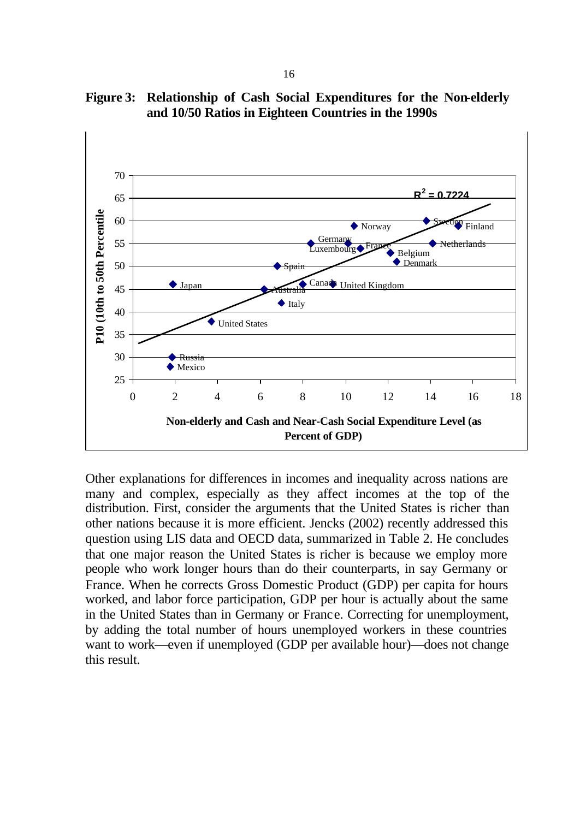

**Figure 3: Relationship of Cash Social Expenditures for the Non-elderly and 10/50 Ratios in Eighteen Countries in the 1990s**

Other explanations for differences in incomes and inequality across nations are many and complex, especially as they affect incomes at the top of the distribution. First, consider the arguments that the United States is richer than other nations because it is more efficient. Jencks (2002) recently addressed this question using LIS data and OECD data, summarized in Table 2. He concludes that one major reason the United States is richer is because we employ more people who work longer hours than do their counterparts, in say Germany or France. When he corrects Gross Domestic Product (GDP) per capita for hours worked, and labor force participation, GDP per hour is actually about the same in the United States than in Germany or France. Correcting for unemployment, by adding the total number of hours unemployed workers in these countries want to work—even if unemployed (GDP per available hour)—does not change this result.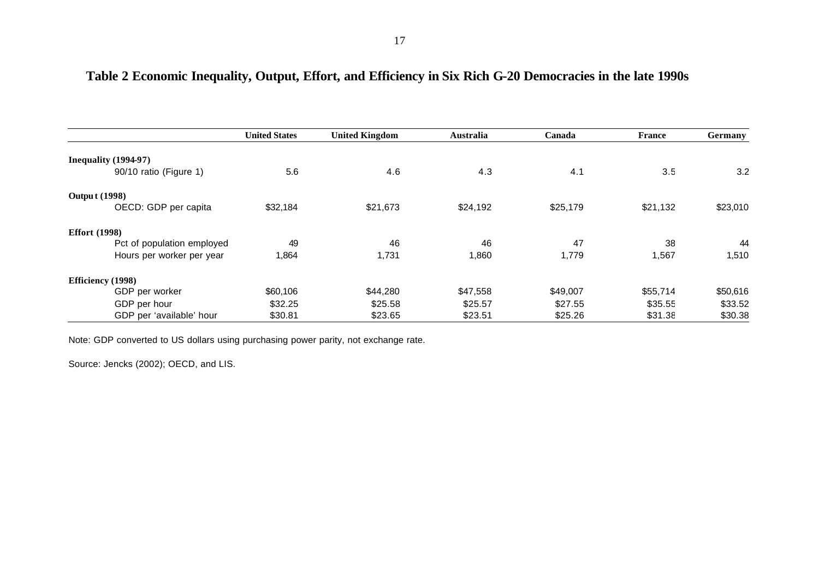# **Table 2 Economic Inequality, Output, Effort, and Efficiency in Six Rich G-20 Democracies in the late 1990s**

|                            | <b>United States</b> | <b>United Kingdom</b> | <b>Australia</b> | Canada   | <b>France</b> | Germany  |
|----------------------------|----------------------|-----------------------|------------------|----------|---------------|----------|
| Inequality (1994-97)       |                      |                       |                  |          |               |          |
| 90/10 ratio (Figure 1)     | 5.6                  | 4.6                   | 4.3              | 4.1      | 3.5           | 3.2      |
| <b>Output</b> (1998)       |                      |                       |                  |          |               |          |
| OECD: GDP per capita       | \$32,184             | \$21,673              | \$24,192         | \$25,179 | \$21,132      | \$23,010 |
| <b>Effort</b> (1998)       |                      |                       |                  |          |               |          |
| Pct of population employed | 49                   | 46                    | 46               | 47       | 38            | 44       |
| Hours per worker per year  | 1,864                | 1,731                 | 1,860            | 1,779    | 1,567         | 1,510    |
| Efficiency (1998)          |                      |                       |                  |          |               |          |
| GDP per worker             | \$60,106             | \$44,280              | \$47,558         | \$49,007 | \$55,714      | \$50,616 |
| GDP per hour               | \$32.25              | \$25.58               | \$25.57          | \$27.55  | \$35.55       | \$33.52  |
| GDP per 'available' hour   | \$30.81              | \$23.65               | \$23.51          | \$25.26  | \$31.38       | \$30.38  |

Note: GDP converted to US dollars using purchasing power parity, not exchange rate.

Source: Jencks (2002); OECD, and LIS.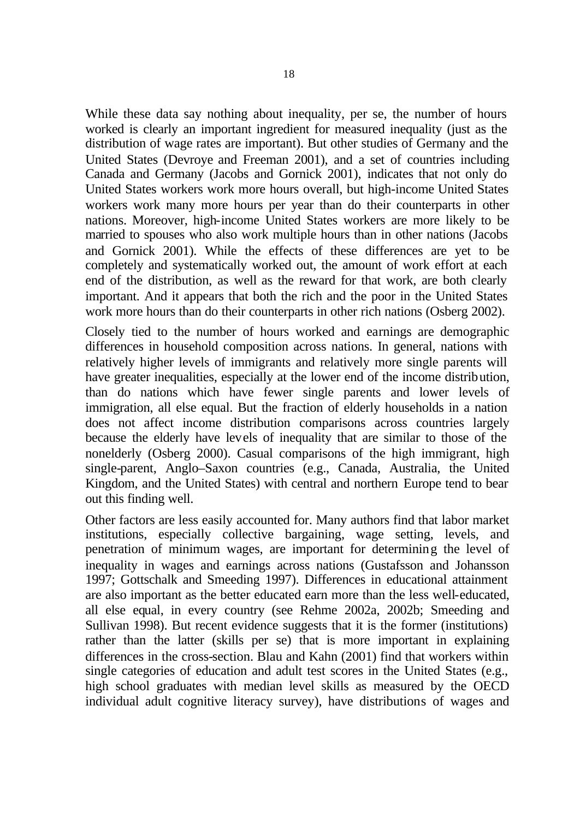While these data say nothing about inequality, per se, the number of hours worked is clearly an important ingredient for measured inequality (just as the distribution of wage rates are important). But other studies of Germany and the United States (Devroye and Freeman 2001), and a set of countries including Canada and Germany (Jacobs and Gornick 2001), indicates that not only do United States workers work more hours overall, but high-income United States workers work many more hours per year than do their counterparts in other nations. Moreover, high-income United States workers are more likely to be married to spouses who also work multiple hours than in other nations (Jacobs and Gornick 2001). While the effects of these differences are yet to be completely and systematically worked out, the amount of work effort at each end of the distribution, as well as the reward for that work, are both clearly important. And it appears that both the rich and the poor in the United States work more hours than do their counterparts in other rich nations (Osberg 2002).

Closely tied to the number of hours worked and earnings are demographic differences in household composition across nations. In general, nations with relatively higher levels of immigrants and relatively more single parents will have greater inequalities, especially at the lower end of the income distribution, than do nations which have fewer single parents and lower levels of immigration, all else equal. But the fraction of elderly households in a nation does not affect income distribution comparisons across countries largely because the elderly have levels of inequality that are similar to those of the nonelderly (Osberg 2000). Casual comparisons of the high immigrant, high single-parent, Anglo–Saxon countries (e.g., Canada, Australia, the United Kingdom, and the United States) with central and northern Europe tend to bear out this finding well.

Other factors are less easily accounted for. Many authors find that labor market institutions, especially collective bargaining, wage setting, levels, and penetration of minimum wages, are important for determining the level of inequality in wages and earnings across nations (Gustafsson and Johansson 1997; Gottschalk and Smeeding 1997). Differences in educational attainment are also important as the better educated earn more than the less well-educated, all else equal, in every country (see Rehme 2002a, 2002b; Smeeding and Sullivan 1998). But recent evidence suggests that it is the former (institutions) rather than the latter (skills per se) that is more important in explaining differences in the cross-section. Blau and Kahn (2001) find that workers within single categories of education and adult test scores in the United States (e.g., high school graduates with median level skills as measured by the OECD individual adult cognitive literacy survey), have distributions of wages and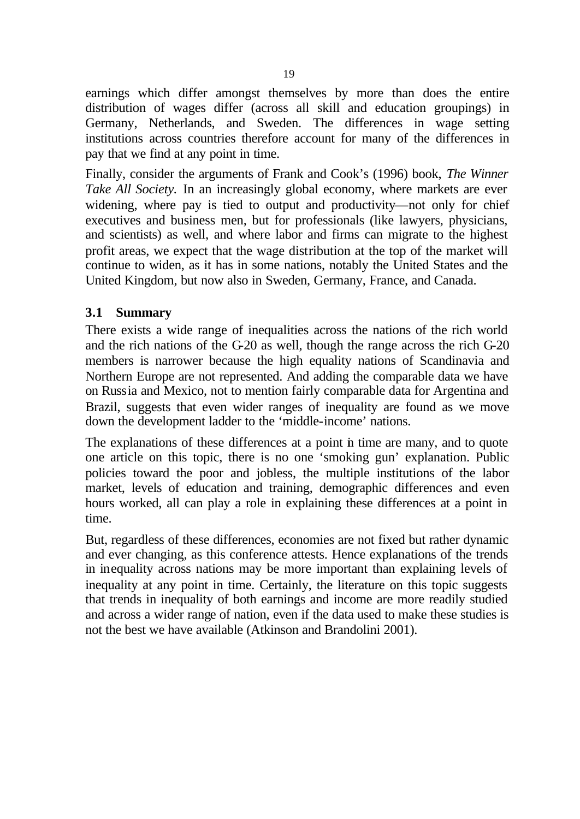earnings which differ amongst themselves by more than does the entire distribution of wages differ (across all skill and education groupings) in Germany, Netherlands, and Sweden. The differences in wage setting institutions across countries therefore account for many of the differences in pay that we find at any point in time.

Finally, consider the arguments of Frank and Cook's (1996) book, *The Winner Take All Society.* In an increasingly global economy, where markets are ever widening, where pay is tied to output and productivity—not only for chief executives and business men, but for professionals (like lawyers, physicians, and scientists) as well, and where labor and firms can migrate to the highest profit areas, we expect that the wage distribution at the top of the market will continue to widen, as it has in some nations, notably the United States and the United Kingdom, but now also in Sweden, Germany, France, and Canada.

#### **3.1 Summary**

There exists a wide range of inequalities across the nations of the rich world and the rich nations of the G-20 as well, though the range across the rich G-20 members is narrower because the high equality nations of Scandinavia and Northern Europe are not represented. And adding the comparable data we have on Russia and Mexico, not to mention fairly comparable data for Argentina and Brazil, suggests that even wider ranges of inequality are found as we move down the development ladder to the 'middle-income' nations.

The explanations of these differences at a point in time are many, and to quote one article on this topic, there is no one 'smoking gun' explanation. Public policies toward the poor and jobless, the multiple institutions of the labor market, levels of education and training, demographic differences and even hours worked, all can play a role in explaining these differences at a point in time.

But, regardless of these differences, economies are not fixed but rather dynamic and ever changing, as this conference attests. Hence explanations of the trends in inequality across nations may be more important than explaining levels of inequality at any point in time. Certainly, the literature on this topic suggests that trends in inequality of both earnings and income are more readily studied and across a wider range of nation, even if the data used to make these studies is not the best we have available (Atkinson and Brandolini 2001).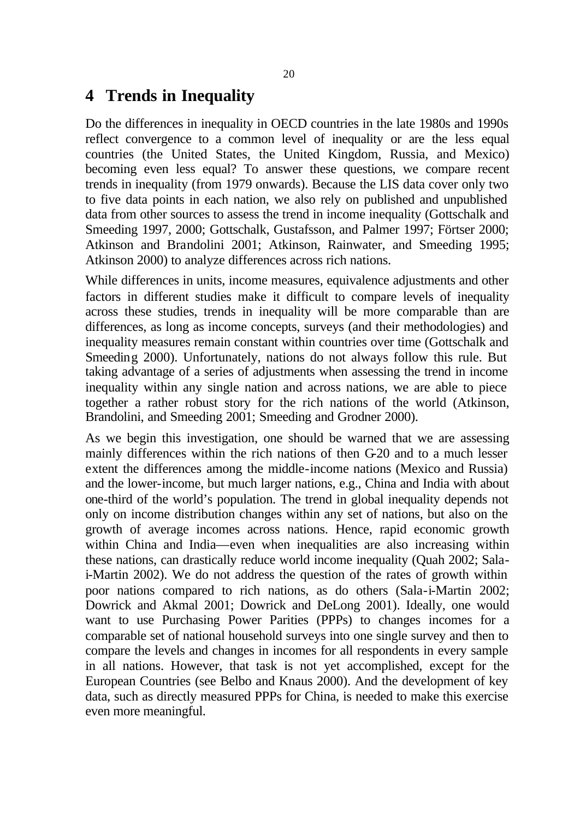# **4 Trends in Inequality**

Do the differences in inequality in OECD countries in the late 1980s and 1990s reflect convergence to a common level of inequality or are the less equal countries (the United States, the United Kingdom, Russia, and Mexico) becoming even less equal? To answer these questions, we compare recent trends in inequality (from 1979 onwards). Because the LIS data cover only two to five data points in each nation, we also rely on published and unpublished data from other sources to assess the trend in income inequality (Gottschalk and Smeeding 1997, 2000; Gottschalk, Gustafsson, and Palmer 1997; Förtser 2000; Atkinson and Brandolini 2001; Atkinson, Rainwater, and Smeeding 1995; Atkinson 2000) to analyze differences across rich nations.

While differences in units, income measures, equivalence adjustments and other factors in different studies make it difficult to compare levels of inequality across these studies, trends in inequality will be more comparable than are differences, as long as income concepts, surveys (and their methodologies) and inequality measures remain constant within countries over time (Gottschalk and Smeeding 2000). Unfortunately, nations do not always follow this rule. But taking advantage of a series of adjustments when assessing the trend in income inequality within any single nation and across nations, we are able to piece together a rather robust story for the rich nations of the world (Atkinson, Brandolini, and Smeeding 2001; Smeeding and Grodner 2000).

As we begin this investigation, one should be warned that we are assessing mainly differences within the rich nations of then G-20 and to a much lesser extent the differences among the middle-income nations (Mexico and Russia) and the lower-income, but much larger nations, e.g., China and India with about one-third of the world's population. The trend in global inequality depends not only on income distribution changes within any set of nations, but also on the growth of average incomes across nations. Hence, rapid economic growth within China and India—even when inequalities are also increasing within these nations, can drastically reduce world income inequality (Quah 2002; Salai-Martin 2002). We do not address the question of the rates of growth within poor nations compared to rich nations, as do others (Sala-i-Martin 2002; Dowrick and Akmal 2001; Dowrick and DeLong 2001). Ideally, one would want to use Purchasing Power Parities (PPPs) to changes incomes for a comparable set of national household surveys into one single survey and then to compare the levels and changes in incomes for all respondents in every sample in all nations. However, that task is not yet accomplished, except for the European Countries (see Belbo and Knaus 2000). And the development of key data, such as directly measured PPPs for China, is needed to make this exercise even more meaningful.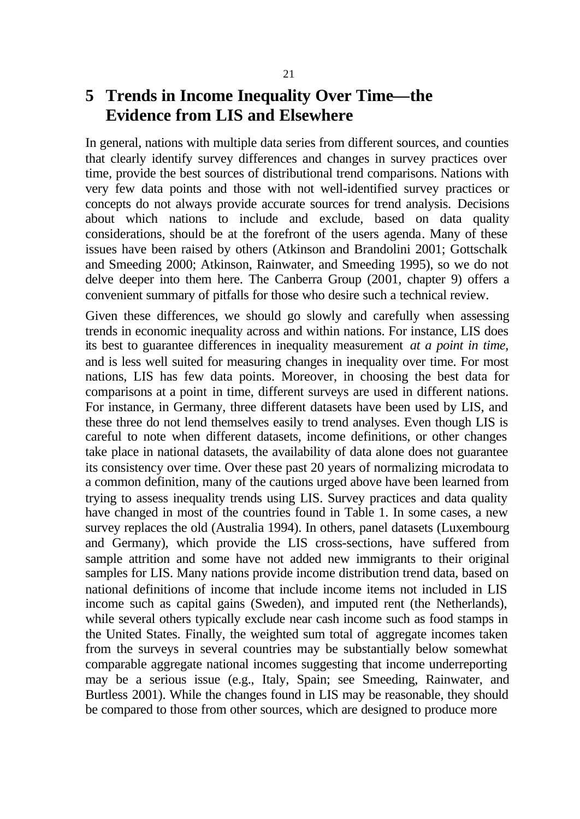# **5 Trends in Income Inequality Over Time—the Evidence from LIS and Elsewhere**

In general, nations with multiple data series from different sources, and counties that clearly identify survey differences and changes in survey practices over time, provide the best sources of distributional trend comparisons. Nations with very few data points and those with not well-identified survey practices or concepts do not always provide accurate sources for trend analysis. Decisions about which nations to include and exclude, based on data quality considerations, should be at the forefront of the users agenda. Many of these issues have been raised by others (Atkinson and Brandolini 2001; Gottschalk and Smeeding 2000; Atkinson, Rainwater, and Smeeding 1995), so we do not delve deeper into them here. The Canberra Group (2001, chapter 9) offers a convenient summary of pitfalls for those who desire such a technical review.

Given these differences, we should go slowly and carefully when assessing trends in economic inequality across and within nations. For instance, LIS does its best to guarantee differences in inequality measurement *at a point in time,* and is less well suited for measuring changes in inequality over time. For most nations, LIS has few data points. Moreover, in choosing the best data for comparisons at a point in time, different surveys are used in different nations. For instance, in Germany, three different datasets have been used by LIS, and these three do not lend themselves easily to trend analyses. Even though LIS is careful to note when different datasets, income definitions, or other changes take place in national datasets, the availability of data alone does not guarantee its consistency over time. Over these past 20 years of normalizing microdata to a common definition, many of the cautions urged above have been learned from trying to assess inequality trends using LIS. Survey practices and data quality have changed in most of the countries found in Table 1. In some cases, a new survey replaces the old (Australia 1994). In others, panel datasets (Luxembourg and Germany), which provide the LIS cross-sections, have suffered from sample attrition and some have not added new immigrants to their original samples for LIS. Many nations provide income distribution trend data, based on national definitions of income that include income items not included in LIS income such as capital gains (Sweden), and imputed rent (the Netherlands), while several others typically exclude near cash income such as food stamps in the United States. Finally, the weighted sum total of aggregate incomes taken from the surveys in several countries may be substantially below somewhat comparable aggregate national incomes suggesting that income underreporting may be a serious issue (e.g., Italy, Spain; see Smeeding, Rainwater, and Burtless 2001). While the changes found in LIS may be reasonable, they should be compared to those from other sources, which are designed to produce more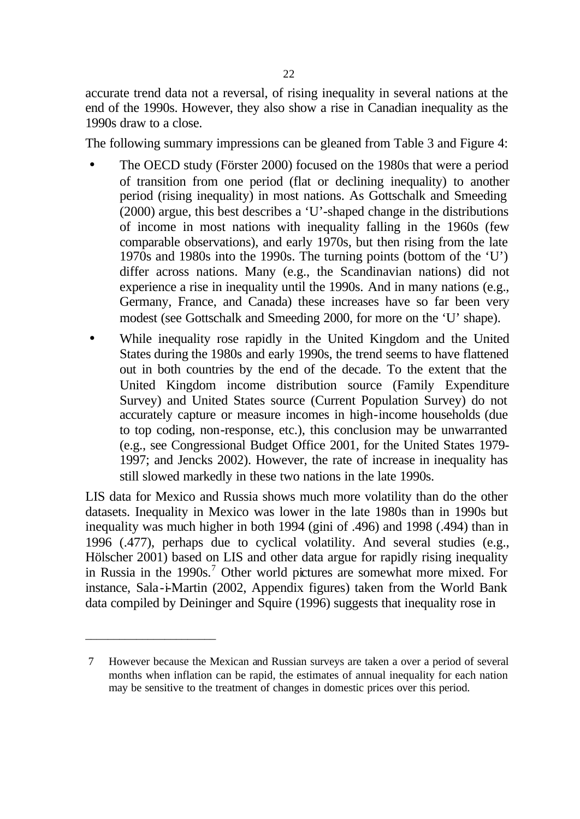accurate trend data not a reversal, of rising inequality in several nations at the end of the 1990s. However, they also show a rise in Canadian inequality as the 1990s draw to a close.

The following summary impressions can be gleaned from Table 3 and Figure 4:

- The OECD study (Förster 2000) focused on the 1980s that were a period of transition from one period (flat or declining inequality) to another period (rising inequality) in most nations. As Gottschalk and Smeeding (2000) argue, this best describes a 'U'-shaped change in the distributions of income in most nations with inequality falling in the 1960s (few comparable observations), and early 1970s, but then rising from the late 1970s and 1980s into the 1990s. The turning points (bottom of the 'U') differ across nations. Many (e.g., the Scandinavian nations) did not experience a rise in inequality until the 1990s. And in many nations (e.g., Germany, France, and Canada) these increases have so far been very modest (see Gottschalk and Smeeding 2000, for more on the 'U' shape).
- While inequality rose rapidly in the United Kingdom and the United States during the 1980s and early 1990s, the trend seems to have flattened out in both countries by the end of the decade. To the extent that the United Kingdom income distribution source (Family Expenditure Survey) and United States source (Current Population Survey) do not accurately capture or measure incomes in high-income households (due to top coding, non-response, etc.), this conclusion may be unwarranted (e.g., see Congressional Budget Office 2001, for the United States 1979- 1997; and Jencks 2002). However, the rate of increase in inequality has still slowed markedly in these two nations in the late 1990s.

LIS data for Mexico and Russia shows much more volatility than do the other datasets. Inequality in Mexico was lower in the late 1980s than in 1990s but inequality was much higher in both 1994 (gini of .496) and 1998 (.494) than in 1996 (.477), perhaps due to cyclical volatility. And several studies (e.g., Hölscher 2001) based on LIS and other data argue for rapidly rising inequality in Russia in the 1990s.<sup>7</sup> Other world pictures are somewhat more mixed. For instance, Sala-i-Martin (2002, Appendix figures) taken from the World Bank data compiled by Deininger and Squire (1996) suggests that inequality rose in

<sup>7</sup> However because the Mexican and Russian surveys are taken a over a period of several months when inflation can be rapid, the estimates of annual inequality for each nation may be sensitive to the treatment of changes in domestic prices over this period.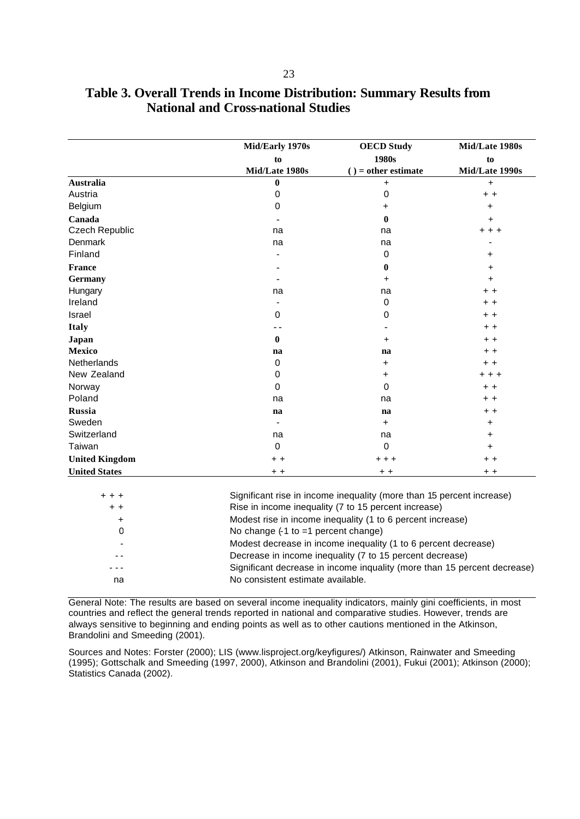|                       | Mid/Early 1970s  | <b>OECD Study</b>     | Mid/Late 1980s |  |
|-----------------------|------------------|-----------------------|----------------|--|
|                       | to               | 1980s                 | to             |  |
|                       | Mid/Late 1980s   | $()$ = other estimate | Mid/Late 1990s |  |
| <b>Australia</b>      | $\boldsymbol{0}$ | $+$                   | $+$            |  |
| Austria               | 0                | 0                     | $+ +$          |  |
| Belgium               | $\Omega$         | +                     | $\ddot{}$      |  |
| Canada                |                  | $\mathbf{0}$          | $+$            |  |
| <b>Czech Republic</b> | na               | na                    | $+ + +$        |  |
| Denmark               | na               | na                    |                |  |
| Finland               |                  | $\mathbf 0$           | +              |  |
| <b>France</b>         |                  | 0                     | $\ddot{}$      |  |
| Germany               |                  | $^{+}$                | $+$            |  |
| Hungary               | na               | na                    | $+ +$          |  |
| Ireland               |                  | $\pmb{0}$             | $+ +$          |  |
| Israel                | $\mathbf 0$      | 0                     | $+ +$          |  |
| <b>Italy</b>          |                  |                       | $+ +$          |  |
| Japan                 | $\bf{0}$         | $^{+}$                | $+ +$          |  |
| <b>Mexico</b>         | na               | na                    | $+ +$          |  |
| Netherlands           | $\mathbf 0$      | $\ddot{}$             | $+ +$          |  |
| New Zealand           | 0                | $\ddot{}$             | $+ + +$        |  |
| Norway                | $\Omega$         | $\Omega$              | $+ +$          |  |
| Poland                | na               | na                    | $+ +$          |  |
| <b>Russia</b>         | na               | na                    | $+ +$          |  |
| Sweden                |                  | $+$                   | $\ddot{}$      |  |
| Switzerland           | na               | na                    | $\ddot{}$      |  |
| Taiwan                | $\mathbf 0$      | 0                     | $\ddot{}$      |  |
| <b>United Kingdom</b> | $+ +$            | $++$                  | $+ +$          |  |
| <b>United States</b>  | $+ +$            | $+ +$                 | $+ +$          |  |

#### **Table 3. Overall Trends in Income Distribution: Summary Results from National and Cross-national Studies**

| $+ + +$   | Significant rise in income inequality (more than 15 percent increase)    |
|-----------|--------------------------------------------------------------------------|
| $+ +$     | Rise in income inequality (7 to 15 percent increase)                     |
| $\ddot{}$ | Modest rise in income inequality (1 to 6 percent increase)               |
|           | No change $(-1)$ to $=1$ percent change)                                 |
|           | Modest decrease in income inequality (1 to 6 percent decrease)           |
|           | Decrease in income inequality (7 to 15 percent decrease)                 |
|           | Significant decrease in income inquality (more than 15 percent decrease) |
| na        | No consistent estimate available.                                        |

General Note: The results are based on several income inequality indicators, mainly gini coefficients, in most countries and reflect the general trends reported in national and comparative studies. However, trends are always sensitive to beginning and ending points as well as to other cautions mentioned in the Atkinson, Brandolini and Smeeding (2001).

Sources and Notes: Forster (2000); LIS (www.lisproject.org/keyfigures/) Atkinson, Rainwater and Smeeding (1995); Gottschalk and Smeeding (1997, 2000), Atkinson and Brandolini (2001), Fukui (2001); Atkinson (2000); Statistics Canada (2002).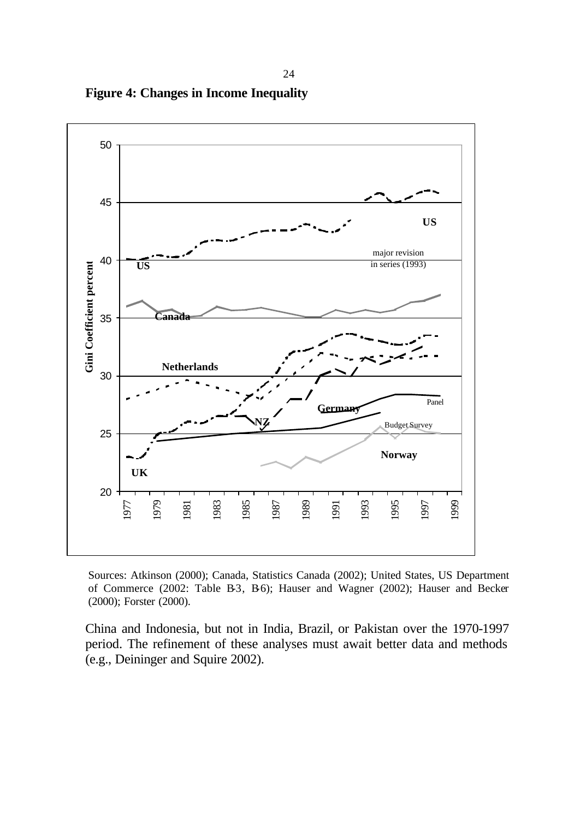



Sources: Atkinson (2000); Canada, Statistics Canada (2002); United States, US Department of Commerce (2002: Table B3, B6); Hauser and Wagner (2002); Hauser and Becker (2000); Forster (2000).

China and Indonesia, but not in India, Brazil, or Pakistan over the 1970-1997 period. The refinement of these analyses must await better data and methods (e.g., Deininger and Squire 2002).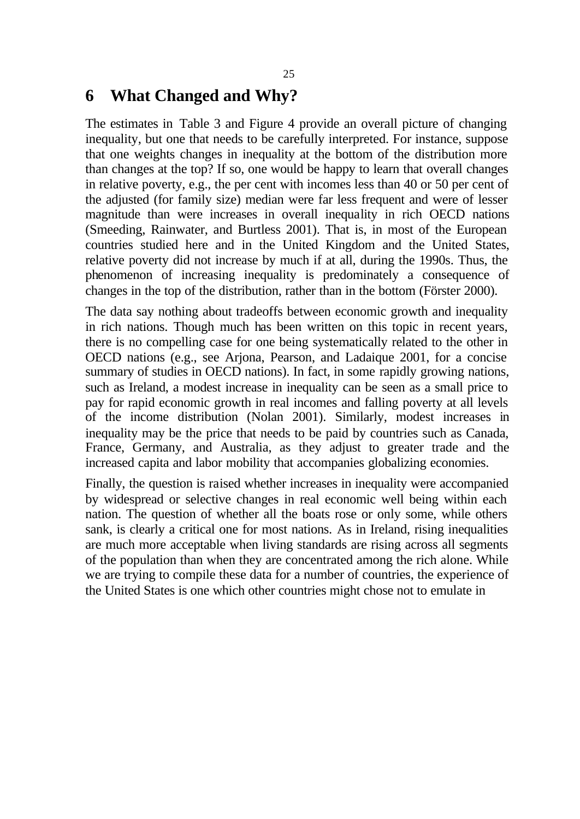## **6 What Changed and Why?**

The estimates in Table 3 and Figure 4 provide an overall picture of changing inequality, but one that needs to be carefully interpreted. For instance, suppose that one weights changes in inequality at the bottom of the distribution more than changes at the top? If so, one would be happy to learn that overall changes in relative poverty, e.g., the per cent with incomes less than 40 or 50 per cent of the adjusted (for family size) median were far less frequent and were of lesser magnitude than were increases in overall inequality in rich OECD nations (Smeeding, Rainwater, and Burtless 2001). That is, in most of the European countries studied here and in the United Kingdom and the United States, relative poverty did not increase by much if at all, during the 1990s. Thus, the phenomenon of increasing inequality is predominately a consequence of changes in the top of the distribution, rather than in the bottom (Förster 2000).

The data say nothing about tradeoffs between economic growth and inequality in rich nations. Though much has been written on this topic in recent years, there is no compelling case for one being systematically related to the other in OECD nations (e.g., see Arjona, Pearson, and Ladaique 2001, for a concise summary of studies in OECD nations). In fact, in some rapidly growing nations, such as Ireland, a modest increase in inequality can be seen as a small price to pay for rapid economic growth in real incomes and falling poverty at all levels of the income distribution (Nolan 2001). Similarly, modest increases in inequality may be the price that needs to be paid by countries such as Canada, France, Germany, and Australia, as they adjust to greater trade and the increased capita and labor mobility that accompanies globalizing economies.

Finally, the question is raised whether increases in inequality were accompanied by widespread or selective changes in real economic well being within each nation. The question of whether all the boats rose or only some, while others sank, is clearly a critical one for most nations. As in Ireland, rising inequalities are much more acceptable when living standards are rising across all segments of the population than when they are concentrated among the rich alone. While we are trying to compile these data for a number of countries, the experience of the United States is one which other countries might chose not to emulate in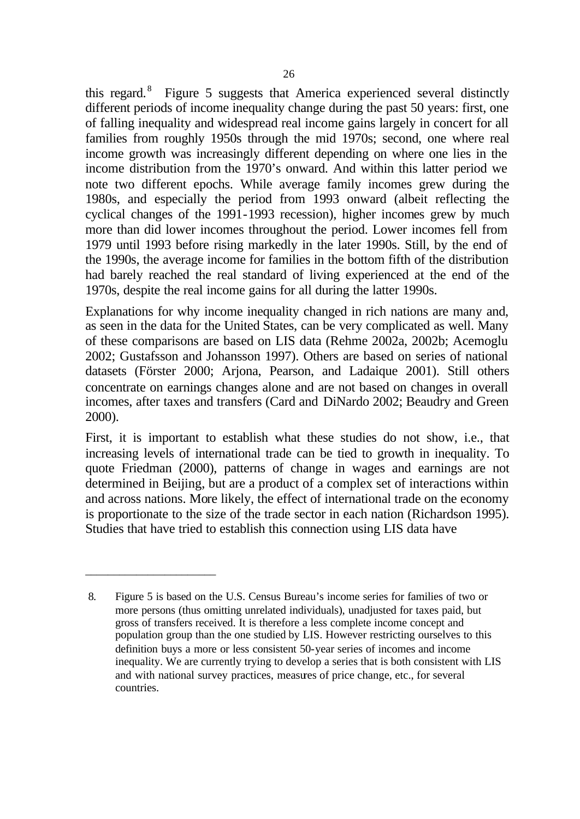this regard.<sup>8</sup> Figure 5 suggests that America experienced several distinctly different periods of income inequality change during the past 50 years: first, one of falling inequality and widespread real income gains largely in concert for all families from roughly 1950s through the mid 1970s; second, one where real income growth was increasingly different depending on where one lies in the income distribution from the 1970's onward. And within this latter period we note two different epochs. While average family incomes grew during the 1980s, and especially the period from 1993 onward (albeit reflecting the cyclical changes of the 1991-1993 recession), higher incomes grew by much more than did lower incomes throughout the period. Lower incomes fell from 1979 until 1993 before rising markedly in the later 1990s. Still, by the end of the 1990s, the average income for families in the bottom fifth of the distribution had barely reached the real standard of living experienced at the end of the 1970s, despite the real income gains for all during the latter 1990s.

Explanations for why income inequality changed in rich nations are many and, as seen in the data for the United States, can be very complicated as well. Many of these comparisons are based on LIS data (Rehme 2002a, 2002b; Acemoglu 2002; Gustafsson and Johansson 1997). Others are based on series of national datasets (Förster 2000; Arjona, Pearson, and Ladaique 2001). Still others concentrate on earnings changes alone and are not based on changes in overall incomes, after taxes and transfers (Card and DiNardo 2002; Beaudry and Green 2000).

First, it is important to establish what these studies do not show, i.e., that increasing levels of international trade can be tied to growth in inequality. To quote Friedman (2000), patterns of change in wages and earnings are not determined in Beijing, but are a product of a complex set of interactions within and across nations. More likely, the effect of international trade on the economy is proportionate to the size of the trade sector in each nation (Richardson 1995). Studies that have tried to establish this connection using LIS data have

<sup>8.</sup> Figure 5 is based on the U.S. Census Bureau's income series for families of two or more persons (thus omitting unrelated individuals), unadjusted for taxes paid, but gross of transfers received. It is therefore a less complete income concept and population group than the one studied by LIS. However restricting ourselves to this definition buys a more or less consistent 50-year series of incomes and income inequality. We are currently trying to develop a series that is both consistent with LIS and with national survey practices, measures of price change, etc., for several countries.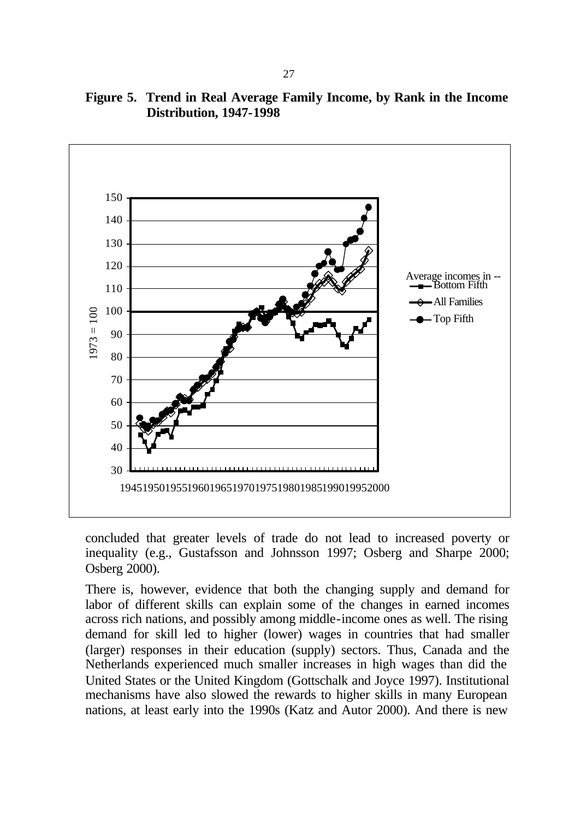

**Figure 5. Trend in Real Average Family Income, by Rank in the Income Distribution, 1947-1998**

concluded that greater levels of trade do not lead to increased poverty or inequality (e.g., Gustafsson and Johnsson 1997; Osberg and Sharpe 2000; Osberg 2000).

There is, however, evidence that both the changing supply and demand for labor of different skills can explain some of the changes in earned incomes across rich nations, and possibly among middle-income ones as well. The rising demand for skill led to higher (lower) wages in countries that had smaller (larger) responses in their education (supply) sectors. Thus, Canada and the Netherlands experienced much smaller increases in high wages than did the United States or the United Kingdom (Gottschalk and Joyce 1997). Institutional mechanisms have also slowed the rewards to higher skills in many European nations, at least early into the 1990s (Katz and Autor 2000). And there is new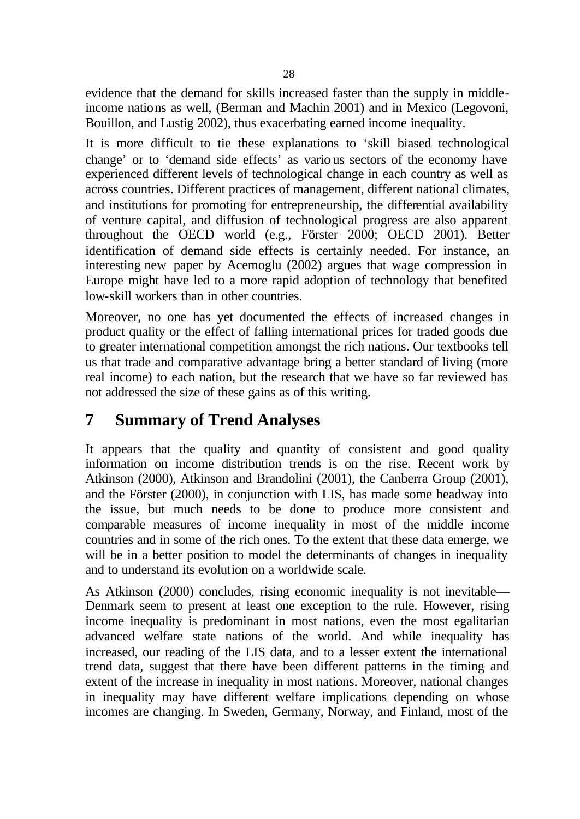evidence that the demand for skills increased faster than the supply in middleincome nations as well, (Berman and Machin 2001) and in Mexico (Legovoni, Bouillon, and Lustig 2002), thus exacerbating earned income inequality.

It is more difficult to tie these explanations to 'skill biased technological change' or to 'demand side effects' as vario us sectors of the economy have experienced different levels of technological change in each country as well as across countries. Different practices of management, different national climates, and institutions for promoting for entrepreneurship, the differential availability of venture capital, and diffusion of technological progress are also apparent throughout the OECD world (e.g., Förster 2000; OECD 2001). Better identification of demand side effects is certainly needed. For instance, an interesting new paper by Acemoglu (2002) argues that wage compression in Europe might have led to a more rapid adoption of technology that benefited low-skill workers than in other countries.

Moreover, no one has yet documented the effects of increased changes in product quality or the effect of falling international prices for traded goods due to greater international competition amongst the rich nations. Our textbooks tell us that trade and comparative advantage bring a better standard of living (more real income) to each nation, but the research that we have so far reviewed has not addressed the size of these gains as of this writing.

# **7 Summary of Trend Analyses**

It appears that the quality and quantity of consistent and good quality information on income distribution trends is on the rise. Recent work by Atkinson (2000), Atkinson and Brandolini (2001), the Canberra Group (2001), and the Förster (2000), in conjunction with LIS, has made some headway into the issue, but much needs to be done to produce more consistent and comparable measures of income inequality in most of the middle income countries and in some of the rich ones. To the extent that these data emerge, we will be in a better position to model the determinants of changes in inequality and to understand its evolution on a worldwide scale.

As Atkinson (2000) concludes, rising economic inequality is not inevitable— Denmark seem to present at least one exception to the rule. However, rising income inequality is predominant in most nations, even the most egalitarian advanced welfare state nations of the world. And while inequality has increased, our reading of the LIS data, and to a lesser extent the international trend data, suggest that there have been different patterns in the timing and extent of the increase in inequality in most nations. Moreover, national changes in inequality may have different welfare implications depending on whose incomes are changing. In Sweden, Germany, Norway, and Finland, most of the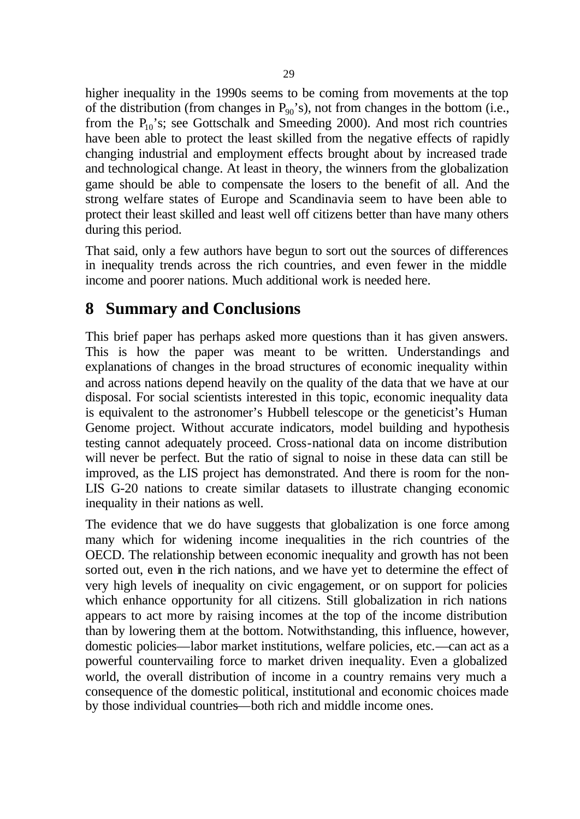higher inequality in the 1990s seems to be coming from movements at the top of the distribution (from changes in  $P_{90}$ 's), not from changes in the bottom (i.e., from the  $P_{10}$ 's; see Gottschalk and Smeeding 2000). And most rich countries have been able to protect the least skilled from the negative effects of rapidly changing industrial and employment effects brought about by increased trade and technological change. At least in theory, the winners from the globalization game should be able to compensate the losers to the benefit of all. And the strong welfare states of Europe and Scandinavia seem to have been able to protect their least skilled and least well off citizens better than have many others during this period.

That said, only a few authors have begun to sort out the sources of differences in inequality trends across the rich countries, and even fewer in the middle income and poorer nations. Much additional work is needed here.

# **8 Summary and Conclusions**

This brief paper has perhaps asked more questions than it has given answers. This is how the paper was meant to be written. Understandings and explanations of changes in the broad structures of economic inequality within and across nations depend heavily on the quality of the data that we have at our disposal. For social scientists interested in this topic, economic inequality data is equivalent to the astronomer's Hubbell telescope or the geneticist's Human Genome project. Without accurate indicators, model building and hypothesis testing cannot adequately proceed. Cross-national data on income distribution will never be perfect. But the ratio of signal to noise in these data can still be improved, as the LIS project has demonstrated. And there is room for the non-LIS G-20 nations to create similar datasets to illustrate changing economic inequality in their nations as well.

The evidence that we do have suggests that globalization is one force among many which for widening income inequalities in the rich countries of the OECD. The relationship between economic inequality and growth has not been sorted out, even in the rich nations, and we have yet to determine the effect of very high levels of inequality on civic engagement, or on support for policies which enhance opportunity for all citizens. Still globalization in rich nations appears to act more by raising incomes at the top of the income distribution than by lowering them at the bottom. Notwithstanding, this influence, however, domestic policies—labor market institutions, welfare policies, etc.—can act as a powerful countervailing force to market driven inequality. Even a globalized world, the overall distribution of income in a country remains very much a consequence of the domestic political, institutional and economic choices made by those individual countries—both rich and middle income ones.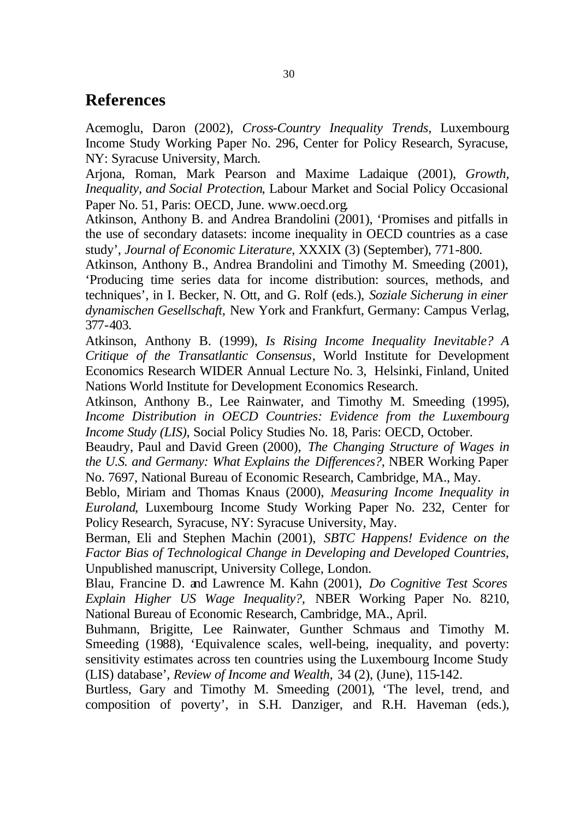## **References**

Acemoglu, Daron (2002), *Cross-Country Inequality Trends*, Luxembourg Income Study Working Paper No. 296, Center for Policy Research, Syracuse, NY: Syracuse University, March.

Arjona, Roman, Mark Pearson and Maxime Ladaique (2001), *Growth, Inequality, and Social Protection*, Labour Market and Social Policy Occasional Paper No. 51, Paris: OECD, June. www.oecd.org.

Atkinson, Anthony B. and Andrea Brandolini (2001), 'Promises and pitfalls in the use of secondary datasets: income inequality in OECD countries as a case study', *Journal of Economic Literature*, XXXIX (3) (September), 771-800.

Atkinson, Anthony B., Andrea Brandolini and Timothy M. Smeeding (2001), 'Producing time series data for income distribution: sources, methods, and techniques', in I. Becker, N. Ott, and G. Rolf (eds.), *Soziale Sicherung in einer dynamischen Gesellschaft,* New York and Frankfurt, Germany: Campus Verlag, 377-403.

Atkinson, Anthony B. (1999), *Is Rising Income Inequality Inevitable? A Critique of the Transatlantic Consensus*, World Institute for Development Economics Research WIDER Annual Lecture No. 3, Helsinki, Finland, United Nations World Institute for Development Economics Research.

Atkinson, Anthony B., Lee Rainwater, and Timothy M. Smeeding (1995), *Income Distribution in OECD Countries: Evidence from the Luxembourg Income Study (LIS),* Social Policy Studies No. 18, Paris: OECD, October.

Beaudry, Paul and David Green (2000), *The Changing Structure of Wages in the U.S. and Germany: What Explains the Differences?*, NBER Working Paper No. 7697, National Bureau of Economic Research, Cambridge, MA., May.

Beblo, Miriam and Thomas Knaus (2000), *Measuring Income Inequality in Euroland*, Luxembourg Income Study Working Paper No. 232, Center for Policy Research, Syracuse, NY: Syracuse University, May.

Berman, Eli and Stephen Machin (2001), *SBTC Happens! Evidence on the Factor Bias of Technological Change in Developing and Developed Countries,*  Unpublished manuscript, University College, London.

Blau, Francine D. and Lawrence M. Kahn (2001), *Do Cognitive Test Scores Explain Higher US Wage Inequality?,* NBER Working Paper No. 8210, National Bureau of Economic Research, Cambridge, MA., April.

Buhmann, Brigitte, Lee Rainwater, Gunther Schmaus and Timothy M. Smeeding (1988), 'Equivalence scales, well-being, inequality, and poverty: sensitivity estimates across ten countries using the Luxembourg Income Study (LIS) database', *Review of Income and Wealth,* 34 (2), (June), 115-142.

Burtless, Gary and Timothy M. Smeeding (2001), 'The level, trend, and composition of poverty', in S.H. Danziger, and R.H. Haveman (eds.),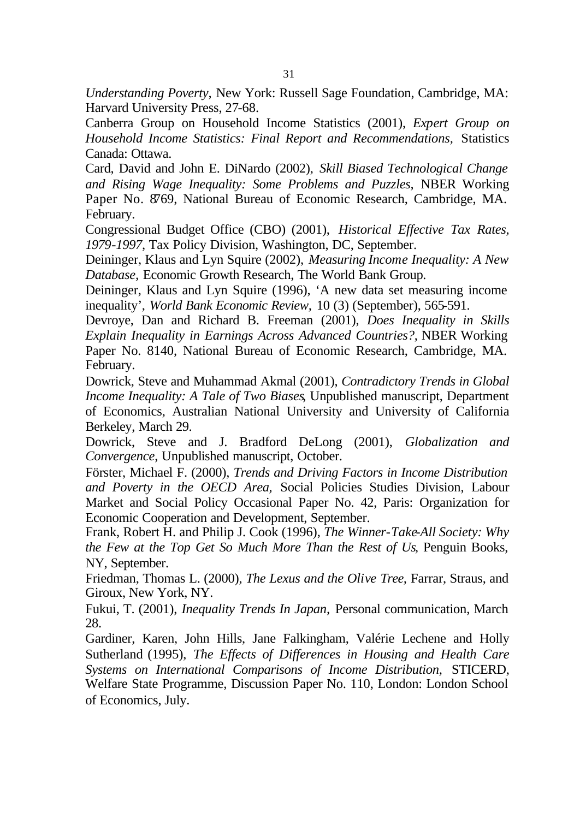*Understanding Poverty,* New York: Russell Sage Foundation, Cambridge, MA: Harvard University Press, 27-68.

Canberra Group on Household Income Statistics (2001), *Expert Group on Household Income Statistics: Final Report and Recommendations,* Statistics Canada: Ottawa.

Card, David and John E. DiNardo (2002), *Skill Biased Technological Change and Rising Wage Inequality: Some Problems and Puzzles,* NBER Working Paper No. 8769, National Bureau of Economic Research, Cambridge, MA. February.

Congressional Budget Office (CBO) (2001), *Historical Effective Tax Rates, 1979-1997,* Tax Policy Division, Washington, DC, September.

Deininger, Klaus and Lyn Squire (2002), *Measuring Income Inequality: A New Database,* Economic Growth Research, The World Bank Group.

Deininger, Klaus and Lyn Squire (1996), 'A new data set measuring income inequality', *World Bank Economic Review,* 10 (3) (September), 565-591.

Devroye, Dan and Richard B. Freeman (2001), *Does Inequality in Skills Explain Inequality in Earnings Across Advanced Countries?*, NBER Working Paper No. 8140, National Bureau of Economic Research, Cambridge, MA. February.

Dowrick, Steve and Muhammad Akmal (2001), *Contradictory Trends in Global Income Inequality: A Tale of Two Biases*, Unpublished manuscript, Department of Economics, Australian National University and University of California Berkeley, March 29.

Dowrick, Steve and J. Bradford DeLong (2001), *Globalization and Convergence*, Unpublished manuscript, October.

Förster, Michael F. (2000), *Trends and Driving Factors in Income Distribution and Poverty in the OECD Area,* Social Policies Studies Division, Labour Market and Social Policy Occasional Paper No. 42, Paris: Organization for Economic Cooperation and Development, September.

Frank, Robert H. and Philip J. Cook (1996), *The Winner-Take-All Society: Why the Few at the Top Get So Much More Than the Rest of Us*, Penguin Books, NY, September.

Friedman, Thomas L. (2000), *The Lexus and the Olive Tree,* Farrar, Straus, and Giroux, New York, NY.

Fukui, T. (2001), *Inequality Trends In Japan,* Personal communication, March 28.

Gardiner, Karen, John Hills, Jane Falkingham, Valérie Lechene and Holly Sutherland (1995), *The Effects of Differences in Housing and Health Care Systems on International Comparisons of Income Distribution,* STICERD, Welfare State Programme, Discussion Paper No. 110, London: London School of Economics, July.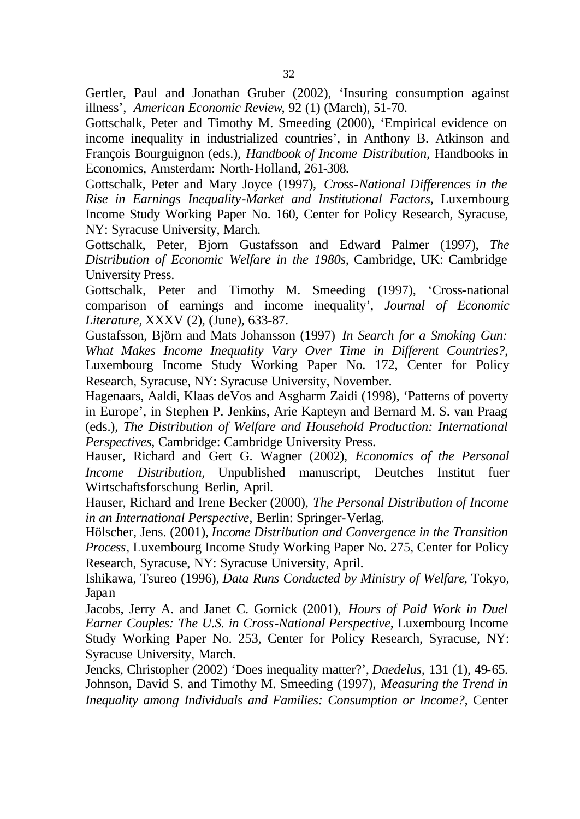Gertler, Paul and Jonathan Gruber (2002), 'Insuring consumption against illness', *American Economic Review*, 92 (1) (March), 51-70.

Gottschalk, Peter and Timothy M. Smeeding (2000), 'Empirical evidence on income inequality in industrialized countries', in Anthony B. Atkinson and François Bourguignon (eds.), *Handbook of Income Distribution,* Handbooks in Economics, Amsterdam: North-Holland, 261-308.

Gottschalk, Peter and Mary Joyce (1997), *Cross-National Differences in the Rise in Earnings Inequality-Market and Institutional Factors,* Luxembourg Income Study Working Paper No. 160, Center for Policy Research, Syracuse, NY: Syracuse University, March.

Gottschalk, Peter, Bjorn Gustafsson and Edward Palmer (1997), *The Distribution of Economic Welfare in the 1980s,* Cambridge, UK: Cambridge University Press.

Gottschalk, Peter and Timothy M. Smeeding (1997), 'Cross-national comparison of earnings and income inequality', *Journal of Economic Literature,* XXXV (2), (June), 633-87.

Gustafsson, Björn and Mats Johansson (1997) *In Search for a Smoking Gun: What Makes Income Inequality Vary Over Time in Different Countries?,* Luxembourg Income Study Working Paper No. 172, Center for Policy Research, Syracuse, NY: Syracuse University, November.

Hagenaars, Aaldi, Klaas deVos and Asgharm Zaidi (1998), 'Patterns of poverty in Europe', in Stephen P. Jenkins, Arie Kapteyn and Bernard M. S. van Praag (eds.), *The Distribution of Welfare and Household Production: International Perspectives,* Cambridge: Cambridge University Press.

Hauser, Richard and Gert G. Wagner (2002), *Economics of the Personal Income Distribution,* Unpublished manuscript, Deutches Institut fuer Wirtschaftsforschung, Berlin, April.

Hauser, Richard and Irene Becker (2000), *The Personal Distribution of Income in an International Perspective,* Berlin: Springer-Verlag.

Hölscher, Jens. (2001), *Income Distribution and Convergence in the Transition Process*, Luxembourg Income Study Working Paper No. 275, Center for Policy Research, Syracuse, NY: Syracuse University, April.

Ishikawa, Tsureo (1996), *Data Runs Conducted by Ministry of Welfare*, Tokyo, Japan

Jacobs, Jerry A. and Janet C. Gornick (2001), *Hours of Paid Work in Duel Earner Couples: The U.S. in Cross-National Perspective*, Luxembourg Income Study Working Paper No. 253, Center for Policy Research, Syracuse, NY: Syracuse University, March.

Jencks, Christopher (2002) 'Does inequality matter?', *Daedelus,* 131 (1), 49-65. Johnson, David S. and Timothy M. Smeeding (1997), *Measuring the Trend in Inequality among Individuals and Families: Consumption or Income?,* Center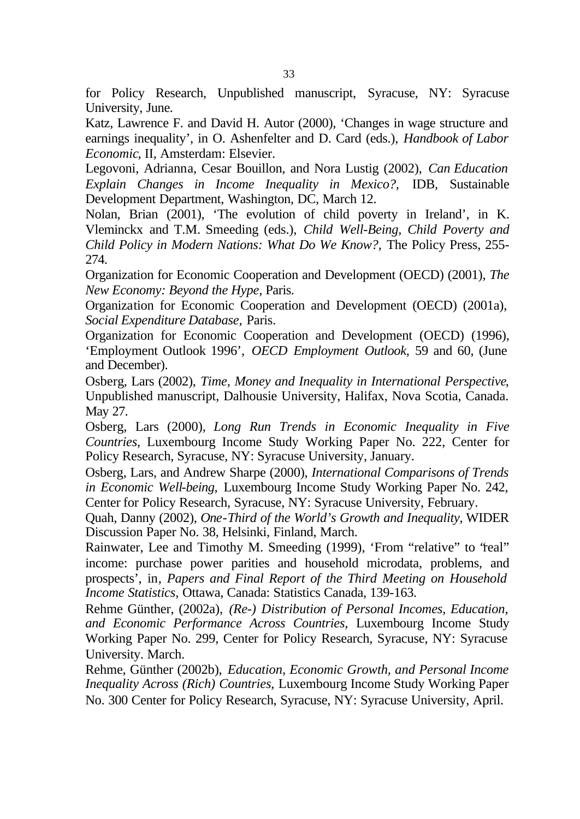for Policy Research, Unpublished manuscript, Syracuse, NY: Syracuse University, June.

Katz, Lawrence F. and David H. Autor (2000), 'Changes in wage structure and earnings inequality', in O. Ashenfelter and D. Card (eds.), *Handbook of Labor Economic*, II, Amsterdam: Elsevier.

Legovoni, Adrianna, Cesar Bouillon, and Nora Lustig (2002), *Can Education Explain Changes in Income Inequality in Mexico?,* IDB, Sustainable Development Department, Washington, DC, March 12.

Nolan, Brian (2001), 'The evolution of child poverty in Ireland', in K. Vleminckx and T.M. Smeeding (eds.), *Child Well-Being, Child Poverty and Child Policy in Modern Nations: What Do We Know?*, The Policy Press, 255-274.

Organization for Economic Cooperation and Development (OECD) (2001), *The New Economy: Beyond the Hype,* Paris.

Organization for Economic Cooperation and Development (OECD) (2001a), *Social Expenditure Database,* Paris.

Organization for Economic Cooperation and Development (OECD) (1996), 'Employment Outlook 1996', *OECD Employment Outlook,* 59 and 60, (June and December).

Osberg, Lars (2002), *Time, Money and Inequality in International Perspective*, Unpublished manuscript, Dalhousie University, Halifax, Nova Scotia, Canada. May 27.

Osberg, Lars (2000), *Long Run Trends in Economic Inequality in Five Countries*, Luxembourg Income Study Working Paper No. 222, Center for Policy Research, Syracuse, NY: Syracuse University, January.

Osberg, Lars, and Andrew Sharpe (2000), *International Comparisons of Trends in Economic Well-being,* Luxembourg Income Study Working Paper No. 242, Center for Policy Research, Syracuse, NY: Syracuse University, February.

Quah, Danny (2002), *One-Third of the World's Growth and Inequality*, WIDER Discussion Paper No. 38, Helsinki, Finland, March.

Rainwater, Lee and Timothy M. Smeeding (1999), 'From "relative" to "real" income: purchase power parities and household microdata, problems, and prospects', in*, Papers and Final Report of the Third Meeting on Household Income Statistics,* Ottawa, Canada: Statistics Canada, 139-163.

Rehme Günther, (2002a), *(Re-) Distribution of Personal Incomes, Education, and Economic Performance Across Countries,* Luxembourg Income Study Working Paper No. 299, Center for Policy Research, Syracuse, NY: Syracuse University. March.

Rehme, Günther (2002b), *Education, Economic Growth, and Personal Income Inequality Across (Rich) Countries,* Luxembourg Income Study Working Paper No. 300 Center for Policy Research, Syracuse, NY: Syracuse University, April.